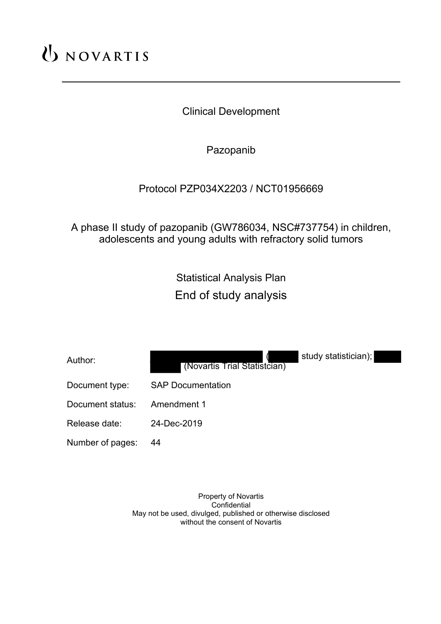# UNOVARTIS

Clinical Development

Pazopanib

# Protocol PZP034X2203 / NCT01956669

A phase II study of pazopanib (GW786034, NSC#737754) in children, adolescents and young adults with refractory solid tumors

> Statistical Analysis Plan End of study analysis

| Author:          | study statistician);<br>(Novartis Trial Statistcian) |
|------------------|------------------------------------------------------|
| Document type:   | <b>SAP Documentation</b>                             |
| Document status: | Amendment 1                                          |
| Release date:    | 24-Dec-2019                                          |
| Number of pages: | 44                                                   |
|                  |                                                      |

Property of Novartis Confidential May not be used, divulged, published or otherwise disclosed without the consent of Novartis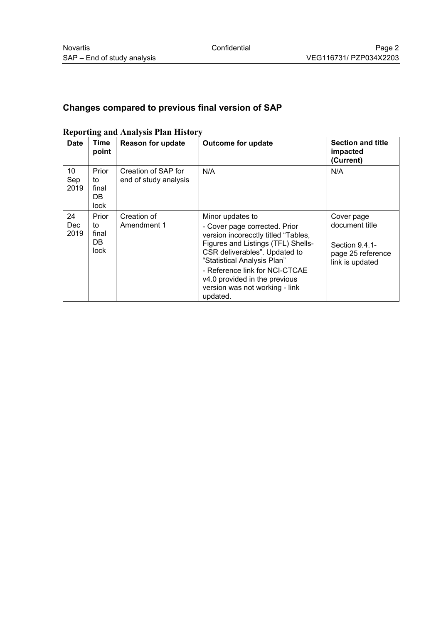# **Changes compared to previous final version of SAP**

| $\mathbf{m}_{\mathbf{p}}$ and $\mathbf{m}_{\mathbf{p}}$ and $\mathbf{m}_{\mathbf{p}}$ and $\mathbf{m}_{\mathbf{p}}$ |                                            |                                              |                                                                                                                                                                                                                                                                                                                 |                                                                                        |  |
|---------------------------------------------------------------------------------------------------------------------|--------------------------------------------|----------------------------------------------|-----------------------------------------------------------------------------------------------------------------------------------------------------------------------------------------------------------------------------------------------------------------------------------------------------------------|----------------------------------------------------------------------------------------|--|
| <b>Date</b>                                                                                                         | Time<br>point                              | <b>Reason for update</b>                     | <b>Outcome for update</b>                                                                                                                                                                                                                                                                                       | <b>Section and title</b><br>impacted<br>(Current)                                      |  |
| 10<br>Sep<br>2019                                                                                                   | Prior<br>to<br>final<br>DB.<br>lock        | Creation of SAP for<br>end of study analysis | N/A                                                                                                                                                                                                                                                                                                             | N/A                                                                                    |  |
| 24<br><b>Dec</b><br>2019                                                                                            | Prior<br>to<br>final<br>DB.<br><b>lock</b> | Creation of<br>Amendment 1                   | Minor updates to<br>- Cover page corrected. Prior<br>version incorecctly titled "Tables,<br>Figures and Listings (TFL) Shells-<br>CSR deliverables". Updated to<br>"Statistical Analysis Plan"<br>- Reference link for NCI-CTCAE<br>v4.0 provided in the previous<br>version was not working - link<br>updated. | Cover page<br>document title<br>Section 9.4.1-<br>page 25 reference<br>link is updated |  |

#### **Reporting and Analysis Plan History**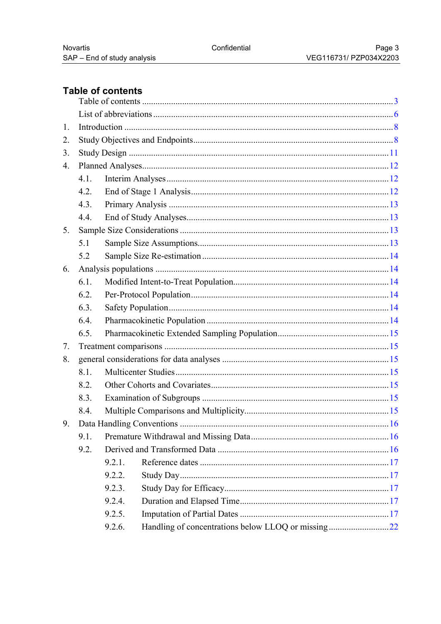# <span id="page-2-0"></span>Table of contents

| 1.               |      |        |                                                    |  |
|------------------|------|--------|----------------------------------------------------|--|
| 2.               |      |        |                                                    |  |
| 3.               |      |        |                                                    |  |
| $\overline{4}$ . |      |        |                                                    |  |
|                  | 4.1. |        |                                                    |  |
|                  | 4.2. |        |                                                    |  |
|                  | 4.3. |        |                                                    |  |
|                  | 4.4. |        |                                                    |  |
| 5.               |      |        |                                                    |  |
|                  | 5.1  |        |                                                    |  |
|                  | 5.2  |        |                                                    |  |
| 6.               |      |        |                                                    |  |
|                  | 6.1. |        |                                                    |  |
|                  | 6.2. |        |                                                    |  |
|                  | 6.3. |        |                                                    |  |
|                  | 6.4. |        |                                                    |  |
|                  | 6.5. |        |                                                    |  |
| 7.               |      |        |                                                    |  |
| 8.               |      |        |                                                    |  |
|                  | 8.1. |        |                                                    |  |
|                  | 8.2. |        |                                                    |  |
|                  | 8.3. |        |                                                    |  |
|                  | 8.4. |        |                                                    |  |
| 9.               |      |        |                                                    |  |
|                  | 9.1. |        |                                                    |  |
|                  | 9.2. |        |                                                    |  |
|                  |      | 9.2.1. |                                                    |  |
|                  |      | 9.2.2. |                                                    |  |
|                  |      | 9.2.3. |                                                    |  |
|                  |      | 9.2.4. |                                                    |  |
|                  |      | 9.2.5. |                                                    |  |
|                  |      | 9.2.6. | Handling of concentrations below LLOQ or missing22 |  |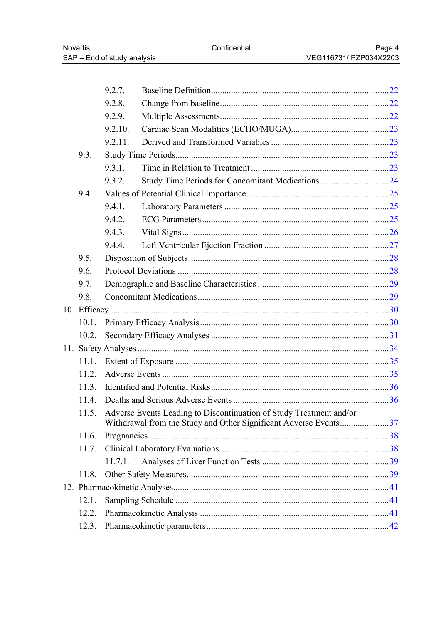|       | 9.2.7.  |                                                                                                                                               |  |
|-------|---------|-----------------------------------------------------------------------------------------------------------------------------------------------|--|
|       | 9.2.8.  |                                                                                                                                               |  |
|       | 9.2.9.  |                                                                                                                                               |  |
|       | 9.2.10. |                                                                                                                                               |  |
|       | 9.2.11. |                                                                                                                                               |  |
| 9.3.  |         |                                                                                                                                               |  |
|       | 9.3.1.  |                                                                                                                                               |  |
|       | 9.3.2.  | Study Time Periods for Concomitant Medications24                                                                                              |  |
| 9.4.  |         |                                                                                                                                               |  |
|       | 9.4.1.  |                                                                                                                                               |  |
|       | 9.4.2.  |                                                                                                                                               |  |
|       | 9.4.3.  |                                                                                                                                               |  |
|       | 9.4.4.  |                                                                                                                                               |  |
| 9.5.  |         |                                                                                                                                               |  |
| 9.6.  |         |                                                                                                                                               |  |
| 9.7.  |         |                                                                                                                                               |  |
| 9.8.  |         |                                                                                                                                               |  |
|       |         |                                                                                                                                               |  |
| 10.1. |         |                                                                                                                                               |  |
| 10.2. |         |                                                                                                                                               |  |
|       |         |                                                                                                                                               |  |
| 11.1. |         |                                                                                                                                               |  |
| 11.2. |         |                                                                                                                                               |  |
| 11.3. |         |                                                                                                                                               |  |
| 114   |         |                                                                                                                                               |  |
|       |         | 11.5. Adverse Events Leading to Discontinuation of Study Treatment and/or<br>Withdrawal from the Study and Other Significant Adverse Events37 |  |
| 11.6. |         |                                                                                                                                               |  |
| 11.7. |         |                                                                                                                                               |  |
|       | 11.7.1. |                                                                                                                                               |  |
| 11.8. |         |                                                                                                                                               |  |
|       |         |                                                                                                                                               |  |
| 12.1. |         |                                                                                                                                               |  |
| 12.2. |         |                                                                                                                                               |  |
| 12.3. |         |                                                                                                                                               |  |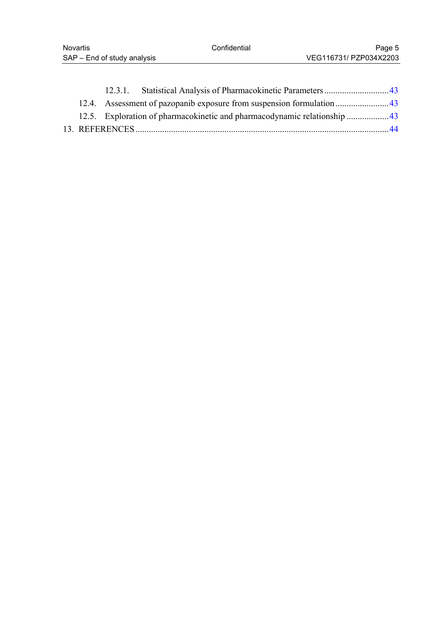|  | 12.5. Exploration of pharmacokinetic and pharmacodynamic relationship  43 |  |
|--|---------------------------------------------------------------------------|--|
|  |                                                                           |  |
|  |                                                                           |  |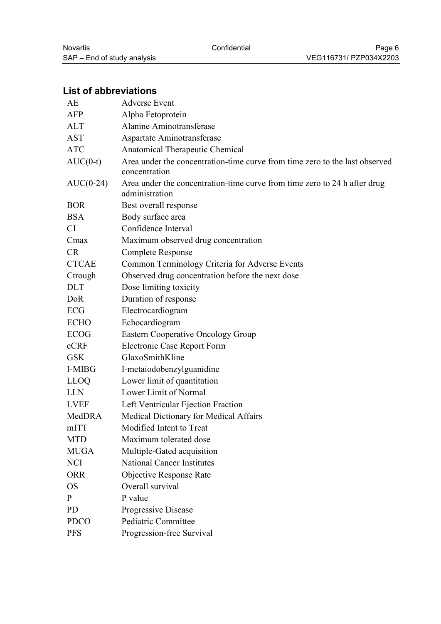# <span id="page-5-0"></span>**List of abbreviations**

| AE            | <b>Adverse Event</b>                                                                         |
|---------------|----------------------------------------------------------------------------------------------|
| AFP           | Alpha Fetoprotein                                                                            |
| <b>ALT</b>    | Alanine Aminotransferase                                                                     |
| <b>AST</b>    | Aspartate Aminotransferase                                                                   |
| <b>ATC</b>    | Anatomical Therapeutic Chemical                                                              |
| $AUC(0-t)$    | Area under the concentration-time curve from time zero to the last observed<br>concentration |
| $AUC(0-24)$   | Area under the concentration-time curve from time zero to 24 h after drug<br>administration  |
| <b>BOR</b>    | Best overall response                                                                        |
| <b>BSA</b>    | Body surface area                                                                            |
| <b>CI</b>     | Confidence Interval                                                                          |
| Cmax          | Maximum observed drug concentration                                                          |
| <b>CR</b>     | Complete Response                                                                            |
| <b>CTCAE</b>  | Common Terminology Criteria for Adverse Events                                               |
| Ctrough       | Observed drug concentration before the next dose                                             |
| <b>DLT</b>    | Dose limiting toxicity                                                                       |
| DoR           | Duration of response                                                                         |
| ECG           | Electrocardiogram                                                                            |
| <b>ECHO</b>   | Echocardiogram                                                                               |
| <b>ECOG</b>   | Eastern Cooperative Oncology Group                                                           |
| eCRF          | Electronic Case Report Form                                                                  |
| <b>GSK</b>    | GlaxoSmithKline                                                                              |
| <b>I-MIBG</b> | I-metaiodobenzylguanidine                                                                    |
| <b>LLOQ</b>   | Lower limit of quantitation                                                                  |
| <b>LLN</b>    | Lower Limit of Normal                                                                        |
| <b>LVEF</b>   | Left Ventricular Ejection Fraction                                                           |
| MedDRA        | Medical Dictionary for Medical Affairs                                                       |
| mITT          | Modified Intent to Treat                                                                     |
| <b>MTD</b>    | Maximum tolerated dose                                                                       |
| <b>MUGA</b>   | Multiple-Gated acquisition                                                                   |
| <b>NCI</b>    | <b>National Cancer Institutes</b>                                                            |
| <b>ORR</b>    | Objective Response Rate                                                                      |
| <b>OS</b>     | Overall survival                                                                             |
| $\mathbf{P}$  | P value                                                                                      |
| <b>PD</b>     | Progressive Disease                                                                          |
| <b>PDCO</b>   | Pediatric Committee                                                                          |
| <b>PFS</b>    | Progression-free Survival                                                                    |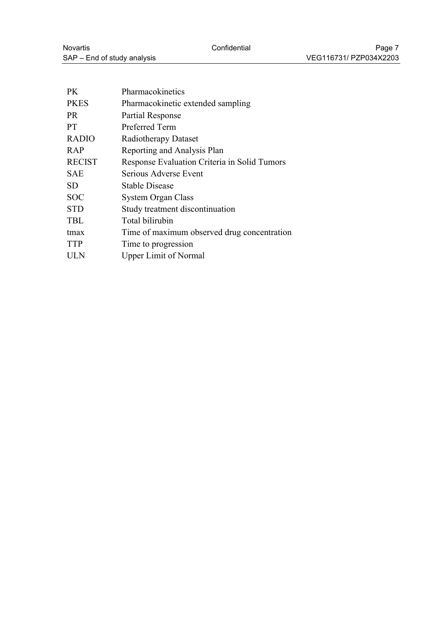| <b>PK</b>     | Pharmacokinetics                             |
|---------------|----------------------------------------------|
| <b>PKES</b>   | Pharmacokinetic extended sampling            |
| PR.           | Partial Response                             |
| <b>PT</b>     | Preferred Term                               |
| <b>RADIO</b>  | Radiotherapy Dataset                         |
| RAP           | Reporting and Analysis Plan                  |
| <b>RECIST</b> | Response Evaluation Criteria in Solid Tumors |
| <b>SAE</b>    | Serious Adverse Event                        |
| <b>SD</b>     | Stable Disease                               |
| <b>SOC</b>    | <b>System Organ Class</b>                    |
| <b>STD</b>    | Study treatment discontinuation              |
| <b>TBL</b>    | Total bilirubin                              |
| tmax          | Time of maximum observed drug concentration  |
| <b>TTP</b>    | Time to progression                          |
| <b>ULN</b>    | <b>Upper Limit of Normal</b>                 |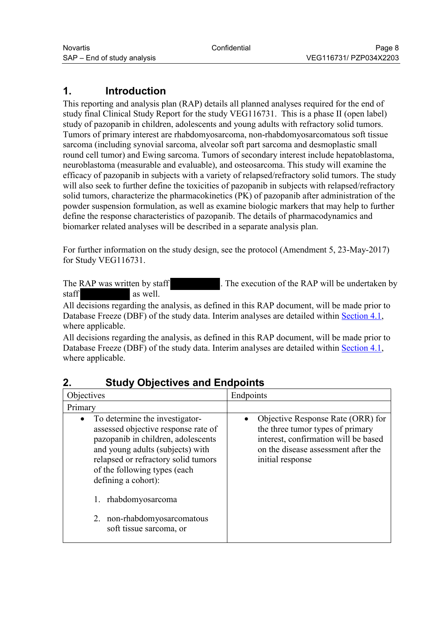# <span id="page-7-0"></span>**1. Introduction**

This reporting and analysis plan (RAP) details all planned analyses required for the end of study final Clinical Study Report for the study VEG116731. This is a phase II (open label) study of pazopanib in children, adolescents and young adults with refractory solid tumors. Tumors of primary interest are rhabdomyosarcoma, non-rhabdomyosarcomatous soft tissue sarcoma (including synovial sarcoma, alveolar soft part sarcoma and desmoplastic small round cell tumor) and Ewing sarcoma. Tumors of secondary interest include hepatoblastoma, neuroblastoma (measurable and evaluable), and osteosarcoma. This study will examine the efficacy of pazopanib in subjects with a variety of relapsed/refractory solid tumors. The study will also seek to further define the toxicities of pazopanib in subjects with relapsed/refractory solid tumors, characterize the pharmacokinetics (PK) of pazopanib after administration of the powder suspension formulation, as well as examine biologic markers that may help to further define the response characteristics of pazopanib. The details of pharmacodynamics and biomarker related analyses will be described in a separate analysis plan.

For further information on the study design, see the protocol (Amendment 5, 23-May-2017) for Study VEG116731.

The RAP was written by staff . The execution of the RAP will be undertaken by staff as well.

All decisions regarding the analysis, as defined in this RAP document, will be made prior to Database Freeze (DBF) of the study data. Interim analyses are detailed within [Section 4.1](#page-11-0), where applicable.

All decisions regarding the analysis, as defined in this RAP document, will be made prior to Database Freeze (DBF) of the study data. Interim analyses are detailed within [Section 4.1](#page-11-0), where applicable.

| Objectives                                                                                                                                                                                                                                                                                                                               | Endpoints                                                                                                                                                                |  |
|------------------------------------------------------------------------------------------------------------------------------------------------------------------------------------------------------------------------------------------------------------------------------------------------------------------------------------------|--------------------------------------------------------------------------------------------------------------------------------------------------------------------------|--|
| Primary                                                                                                                                                                                                                                                                                                                                  |                                                                                                                                                                          |  |
| To determine the investigator-<br>$\bullet$<br>assessed objective response rate of<br>pazopanib in children, adolescents<br>and young adults (subjects) with<br>relapsed or refractory solid tumors<br>of the following types (each<br>defining a cohort):<br>rhabdomyosarcoma<br>2. non-rhabdomyosarcomatous<br>soft tissue sarcoma, or | Objective Response Rate (ORR) for<br>the three tumor types of primary<br>interest, confirmation will be based<br>on the disease assessment after the<br>initial response |  |
|                                                                                                                                                                                                                                                                                                                                          |                                                                                                                                                                          |  |

## **2. Study Objectives and Endpoints**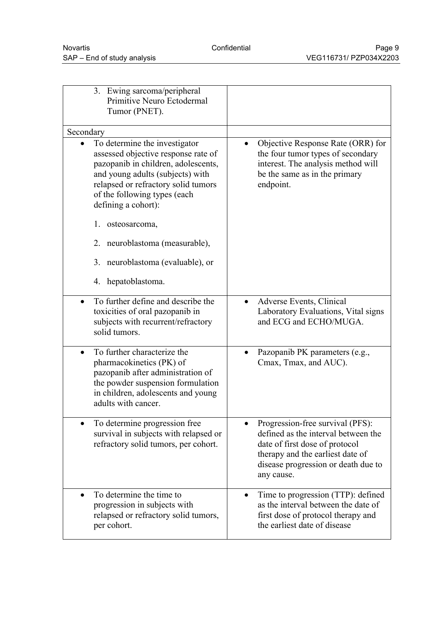| 3. Ewing sarcoma/peripheral<br>Primitive Neuro Ectodermal<br>Tumor (PNET).                                                                                                                                                                    |                                                                                                                                                                                                    |
|-----------------------------------------------------------------------------------------------------------------------------------------------------------------------------------------------------------------------------------------------|----------------------------------------------------------------------------------------------------------------------------------------------------------------------------------------------------|
| Secondary                                                                                                                                                                                                                                     |                                                                                                                                                                                                    |
| To determine the investigator<br>assessed objective response rate of<br>pazopanib in children, adolescents,<br>and young adults (subjects) with<br>relapsed or refractory solid tumors<br>of the following types (each<br>defining a cohort): | Objective Response Rate (ORR) for<br>the four tumor types of secondary<br>interest. The analysis method will<br>be the same as in the primary<br>endpoint.                                         |
| 1.<br>osteosarcoma,                                                                                                                                                                                                                           |                                                                                                                                                                                                    |
| 2. neuroblastoma (measurable),                                                                                                                                                                                                                |                                                                                                                                                                                                    |
| neuroblastoma (evaluable), or<br>3.                                                                                                                                                                                                           |                                                                                                                                                                                                    |
| 4. hepatoblastoma.                                                                                                                                                                                                                            |                                                                                                                                                                                                    |
| To further define and describe the<br>toxicities of oral pazopanib in<br>subjects with recurrent/refractory<br>solid tumors.                                                                                                                  | Adverse Events, Clinical<br>Laboratory Evaluations, Vital signs<br>and ECG and ECHO/MUGA.                                                                                                          |
| To further characterize the<br>$\bullet$<br>pharmacokinetics (PK) of<br>pazopanib after administration of<br>the powder suspension formulation<br>in children, adolescents and young<br>adults with cancer.                                   | Pazopanib PK parameters (e.g.,<br>Cmax, Tmax, and AUC).                                                                                                                                            |
| To determine progression free<br>survival in subjects with relapsed or<br>refractory solid tumors, per cohort.                                                                                                                                | Progression-free survival (PFS):<br>defined as the interval between the<br>date of first dose of protocol<br>therapy and the earliest date of<br>disease progression or death due to<br>any cause. |
| To determine the time to<br>progression in subjects with<br>relapsed or refractory solid tumors,<br>per cohort.                                                                                                                               | Time to progression (TTP): defined<br>٠<br>as the interval between the date of<br>first dose of protocol therapy and<br>the earliest date of disease                                               |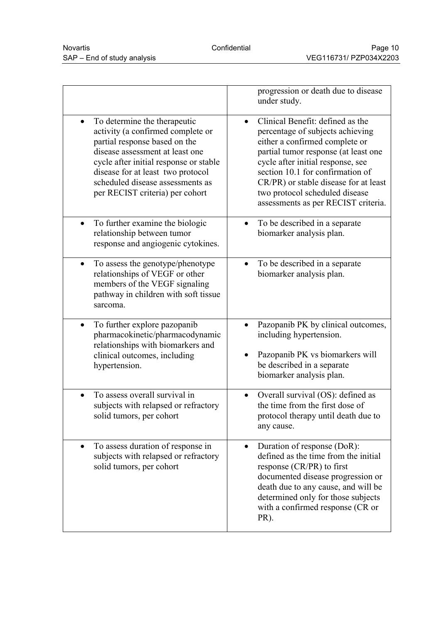|                                                                                                                                                                                                                                                                                                          | progression or death due to disease<br>under study.                                                                                                                                                                                                                                                                                                    |
|----------------------------------------------------------------------------------------------------------------------------------------------------------------------------------------------------------------------------------------------------------------------------------------------------------|--------------------------------------------------------------------------------------------------------------------------------------------------------------------------------------------------------------------------------------------------------------------------------------------------------------------------------------------------------|
| To determine the therapeutic<br>$\bullet$<br>activity (a confirmed complete or<br>partial response based on the<br>disease assessment at least one<br>cycle after initial response or stable<br>disease for at least two protocol<br>scheduled disease assessments as<br>per RECIST criteria) per cohort | Clinical Benefit: defined as the<br>$\bullet$<br>percentage of subjects achieving<br>either a confirmed complete or<br>partial tumor response (at least one<br>cycle after initial response, see<br>section 10.1 for confirmation of<br>CR/PR) or stable disease for at least<br>two protocol scheduled disease<br>assessments as per RECIST criteria. |
| To further examine the biologic<br>$\bullet$<br>relationship between tumor<br>response and angiogenic cytokines.                                                                                                                                                                                         | To be described in a separate<br>biomarker analysis plan.                                                                                                                                                                                                                                                                                              |
| To assess the genotype/phenotype<br>$\bullet$<br>relationships of VEGF or other<br>members of the VEGF signaling<br>pathway in children with soft tissue<br>sarcoma.                                                                                                                                     | To be described in a separate<br>$\bullet$<br>biomarker analysis plan.                                                                                                                                                                                                                                                                                 |
| To further explore pazopanib<br>$\bullet$<br>pharmacokinetic/pharmacodynamic<br>relationships with biomarkers and<br>clinical outcomes, including<br>hypertension.                                                                                                                                       | Pazopanib PK by clinical outcomes,<br>including hypertension.<br>Pazopanib PK vs biomarkers will<br>be described in a separate<br>biomarker analysis plan.                                                                                                                                                                                             |
| To assess overall survival in<br>subjects with relapsed or refractory<br>solid tumors, per cohort                                                                                                                                                                                                        | Overall survival (OS): defined as<br>the time from the first dose of<br>protocol therapy until death due to<br>any cause.                                                                                                                                                                                                                              |
| To assess duration of response in<br>$\bullet$<br>subjects with relapsed or refractory<br>solid tumors, per cohort                                                                                                                                                                                       | Duration of response (DoR):<br>$\bullet$<br>defined as the time from the initial<br>response (CR/PR) to first<br>documented disease progression or<br>death due to any cause, and will be<br>determined only for those subjects<br>with a confirmed response (CR or<br>PR).                                                                            |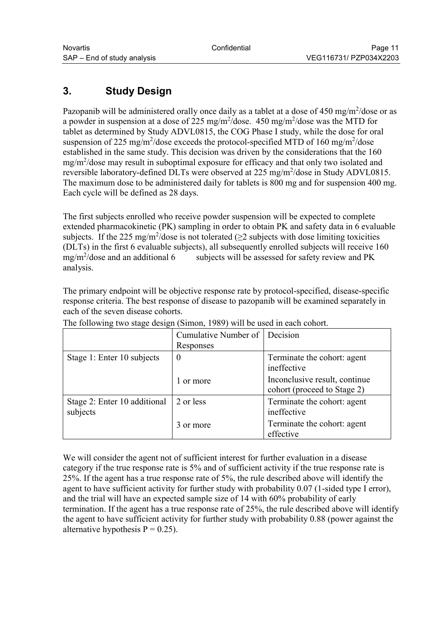# <span id="page-10-0"></span>**3. Study Design**

Pazopanib will be administered orally once daily as a tablet at a dose of  $450 \text{ mg/m}^2/\text{dose}$  or as a powder in suspension at a dose of 225 mg/m<sup>2</sup>/dose.  $450 \text{ mg/m}^2$ /dose was the MTD for tablet as determined by Study ADVL0815, the COG Phase I study, while the dose for oral suspension of 225 mg/m<sup>2</sup>/dose exceeds the protocol-specified MTD of 160 mg/m<sup>2</sup>/dose established in the same study. This decision was driven by the considerations that the 160 mg/m<sup>2</sup>/dose may result in suboptimal exposure for efficacy and that only two isolated and reversible laboratory-defined DLTs were observed at 225 mg/m<sup>2</sup>/dose in Study ADVL0815. The maximum dose to be administered daily for tablets is 800 mg and for suspension 400 mg. Each cycle will be defined as 28 days.

The first subjects enrolled who receive powder suspension will be expected to complete extended pharmacokinetic (PK) sampling in order to obtain PK and safety data in 6 evaluable subjects. If the 225 mg/m<sup>2</sup>/dose is not tolerated ( $\geq$ 2 subjects with dose limiting toxicities (DLTs) in the first 6 evaluable subjects), all subsequently enrolled subjects will receive 160  $mg/m^2$ /dose and an additional 6 subjects will be assessed for safety review and PK analysis.

The primary endpoint will be objective response rate by protocol-specified, disease-specific response criteria. The best response of disease to pazopanib will be examined separately in each of the seven disease cohorts.

|                                          | Cumulative Number of<br>Responses | Decision                                                     |
|------------------------------------------|-----------------------------------|--------------------------------------------------------------|
| Stage 1: Enter 10 subjects               | $\theta$                          | Terminate the cohort: agent<br>ineffective                   |
|                                          | 1 or more                         | Inconclusive result, continue<br>cohort (proceed to Stage 2) |
| Stage 2: Enter 10 additional<br>subjects | 2 or less                         | Terminate the cohort: agent<br>ineffective                   |
|                                          | 3 or more                         | Terminate the cohort: agent<br>effective                     |

The following two stage design (Simon, 1989) will be used in each cohort.

We will consider the agent not of sufficient interest for further evaluation in a disease category if the true response rate is 5% and of sufficient activity if the true response rate is 25%. If the agent has a true response rate of 5%, the rule described above will identify the agent to have sufficient activity for further study with probability 0.07 (1-sided type I error), and the trial will have an expected sample size of 14 with 60% probability of early termination. If the agent has a true response rate of 25%, the rule described above will identify the agent to have sufficient activity for further study with probability 0.88 (power against the alternative hypothesis  $P = 0.25$ ).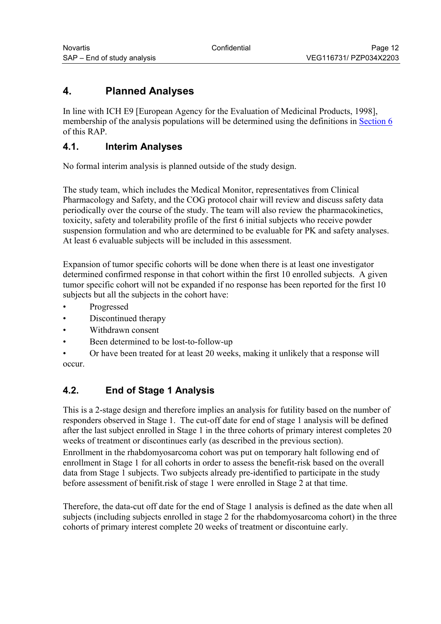# <span id="page-11-0"></span>**4. Planned Analyses**

In line with ICH E9 [European Agency for the Evaluation of Medicinal Products, 1998], membership of the analysis populations will be determined using the definitions in [Section 6](#page-13-0) of this RAP.

# **4.1. Interim Analyses**

No formal interim analysis is planned outside of the study design.

The study team, which includes the Medical Monitor, representatives from Clinical Pharmacology and Safety, and the COG protocol chair will review and discuss safety data periodically over the course of the study. The team will also review the pharmacokinetics, toxicity, safety and tolerability profile of the first 6 initial subjects who receive powder suspension formulation and who are determined to be evaluable for PK and safety analyses. At least 6 evaluable subjects will be included in this assessment.

Expansion of tumor specific cohorts will be done when there is at least one investigator determined confirmed response in that cohort within the first 10 enrolled subjects. A given tumor specific cohort will not be expanded if no response has been reported for the first 10 subjects but all the subjects in the cohort have:

- Progressed
- Discontinued therapy
- Withdrawn consent
- Been determined to be lost-to-follow-up

• Or have been treated for at least 20 weeks, making it unlikely that a response will occur.

# **4.2. End of Stage 1 Analysis**

This is a 2-stage design and therefore implies an analysis for futility based on the number of responders observed in Stage 1. The cut-off date for end of stage 1 analysis will be defined after the last subject enrolled in Stage 1 in the three cohorts of primary interest completes 20 weeks of treatment or discontinues early (as described in the previous section).

Enrollment in the rhabdomyosarcoma cohort was put on temporary halt following end of enrollment in Stage 1 for all cohorts in order to assess the benefit-risk based on the overall data from Stage 1 subjects. Two subjects already pre-identified to participate in the study before assessment of benifit.risk of stage 1 were enrolled in Stage 2 at that time.

Therefore, the data-cut off date for the end of Stage 1 analysis is defined as the date when all subjects (including subjects enrolled in stage 2 for the rhabdomyosarcoma cohort) in the three cohorts of primary interest complete 20 weeks of treatment or discontuine early.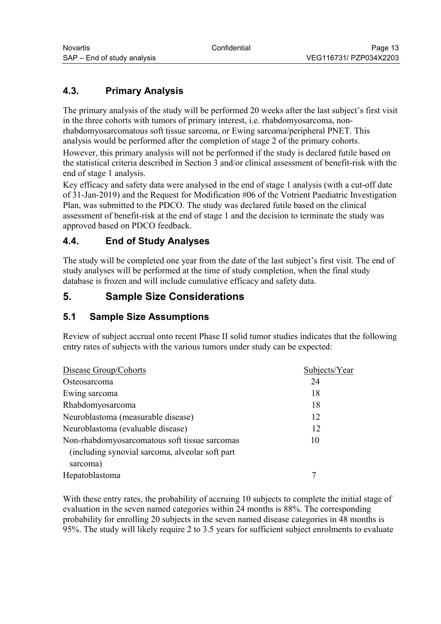# <span id="page-12-0"></span>**4.3. Primary Analysis**

The primary analysis of the study will be performed 20 weeks after the last subject's first visit in the three cohorts with tumors of primary interest, i.e. rhabdomyosarcoma, nonrhabdomyosarcomatous soft tissue sarcoma, or Ewing sarcoma/peripheral PNET. This analysis would be performed after the completion of stage 2 of the primary cohorts.

However, this primary analysis will not be performed if the study is declared futile based on the statistical criteria described in Section 3 and/or clinical assessment of benefit-risk with the end of stage 1 analysis.

Key efficacy and safety data were analysed in the end of stage 1 analysis (with a cut-off date of 31-Jan-2019) and the Request for Modification #06 of the Votrient Paediatric Investigation Plan, was submitted to the PDCO. The study was declared futile based on the clinical assessment of benefit-risk at the end of stage 1 and the decision to terminate the study was approved based on PDCO feedback.

# **4.4. End of Study Analyses**

The study will be completed one year from the date of the last subject's first visit. The end of study analyses will be performed at the time of study completion, when the final study database is frozen and will include cumulative efficacy and safety data.

# **5. Sample Size Considerations**

## **5.1 Sample Size Assumptions**

Review of subject accrual onto recent Phase II solid tumor studies indicates that the following entry rates of subjects with the various tumors under study can be expected:

| Disease Group/Cohorts                           | Subjects/Year |
|-------------------------------------------------|---------------|
| Osteosarcoma                                    | 24            |
| Ewing sarcoma                                   | 18            |
| Rhabdomyosarcoma                                | 18            |
| Neuroblastoma (measurable disease)              | 12            |
| Neuroblastoma (evaluable disease)               | 12            |
| Non-rhabdomyosarcomatous soft tissue sarcomas   | 10            |
| (including synovial sarcoma, alveolar soft part |               |
| sarcoma)                                        |               |
| Hepatoblastoma                                  |               |

With these entry rates, the probability of accruing 10 subjects to complete the initial stage of evaluation in the seven named categories within 24 months is 88%. The corresponding probability for enrolling 20 subjects in the seven named disease categories in 48 months is 95%. The study will likely require 2 to 3.5 years for sufficient subject enrolments to evaluate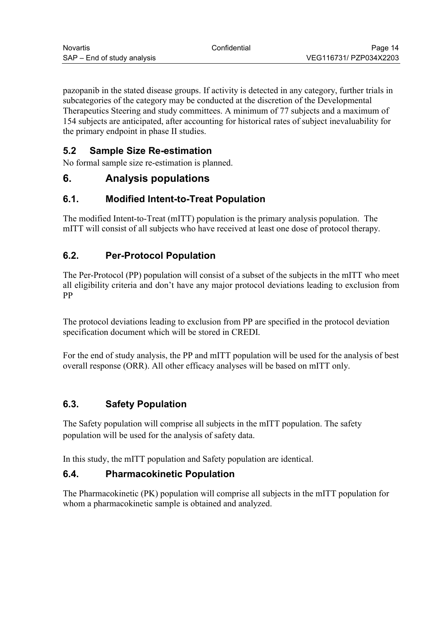<span id="page-13-0"></span>pazopanib in the stated disease groups. If activity is detected in any category, further trials in subcategories of the category may be conducted at the discretion of the Developmental Therapeutics Steering and study committees. A minimum of 77 subjects and a maximum of 154 subjects are anticipated, after accounting for historical rates of subject inevaluability for the primary endpoint in phase II studies.

# **5.2 Sample Size Re-estimation**

No formal sample size re-estimation is planned.

# **6. Analysis populations**

## **6.1. Modified Intent-to-Treat Population**

The modified Intent-to-Treat (mITT) population is the primary analysis population. The mITT will consist of all subjects who have received at least one dose of protocol therapy.

# **6.2. Per-Protocol Population**

The Per-Protocol (PP) population will consist of a subset of the subjects in the mITT who meet all eligibility criteria and don't have any major protocol deviations leading to exclusion from PP

The protocol deviations leading to exclusion from PP are specified in the protocol deviation specification document which will be stored in CREDI.

For the end of study analysis, the PP and mITT population will be used for the analysis of best overall response (ORR). All other efficacy analyses will be based on mITT only.

## **6.3. Safety Population**

The Safety population will comprise all subjects in the mITT population. The safety population will be used for the analysis of safety data.

In this study, the mITT population and Safety population are identical.

## **6.4. Pharmacokinetic Population**

The Pharmacokinetic (PK) population will comprise all subjects in the mITT population for whom a pharmacokinetic sample is obtained and analyzed.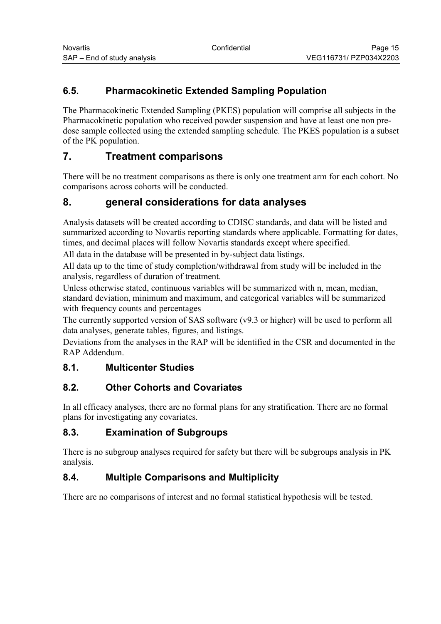# <span id="page-14-0"></span>**6.5. Pharmacokinetic Extended Sampling Population**

The Pharmacokinetic Extended Sampling (PKES) population will comprise all subjects in the Pharmacokinetic population who received powder suspension and have at least one non predose sample collected using the extended sampling schedule. The PKES population is a subset of the PK population.

# **7. Treatment comparisons**

There will be no treatment comparisons as there is only one treatment arm for each cohort. No comparisons across cohorts will be conducted.

# **8. general considerations for data analyses**

Analysis datasets will be created according to CDISC standards, and data will be listed and summarized according to Novartis reporting standards where applicable. Formatting for dates, times, and decimal places will follow Novartis standards except where specified.

All data in the database will be presented in by-subject data listings.

All data up to the time of study completion/withdrawal from study will be included in the analysis, regardless of duration of treatment.

Unless otherwise stated, continuous variables will be summarized with n, mean, median, standard deviation, minimum and maximum, and categorical variables will be summarized with frequency counts and percentages

The currently supported version of SAS software (v9.3 or higher) will be used to perform all data analyses, generate tables, figures, and listings.

Deviations from the analyses in the RAP will be identified in the CSR and documented in the RAP Addendum.

# **8.1. Multicenter Studies**

# **8.2. Other Cohorts and Covariates**

In all efficacy analyses, there are no formal plans for any stratification. There are no formal plans for investigating any covariates.

## **8.3. Examination of Subgroups**

There is no subgroup analyses required for safety but there will be subgroups analysis in PK analysis.

# **8.4. Multiple Comparisons and Multiplicity**

There are no comparisons of interest and no formal statistical hypothesis will be tested.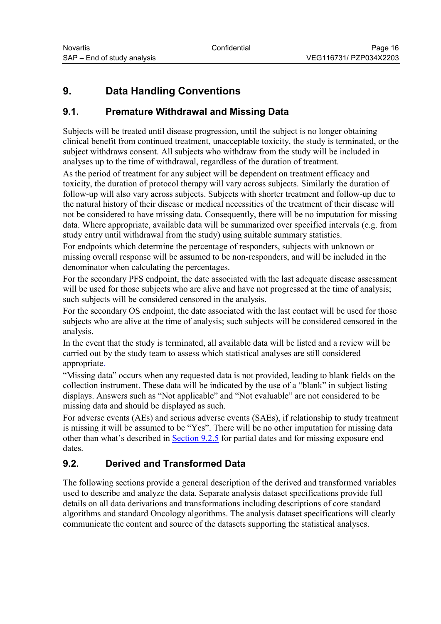# <span id="page-15-0"></span>**9. Data Handling Conventions**

# **9.1. Premature Withdrawal and Missing Data**

Subjects will be treated until disease progression, until the subject is no longer obtaining clinical benefit from continued treatment, unacceptable toxicity, the study is terminated, or the subject withdraws consent. All subjects who withdraw from the study will be included in analyses up to the time of withdrawal, regardless of the duration of treatment.

As the period of treatment for any subject will be dependent on treatment efficacy and toxicity, the duration of protocol therapy will vary across subjects. Similarly the duration of follow-up will also vary across subjects. Subjects with shorter treatment and follow-up due to the natural history of their disease or medical necessities of the treatment of their disease will not be considered to have missing data. Consequently, there will be no imputation for missing data. Where appropriate, available data will be summarized over specified intervals (e.g. from study entry until withdrawal from the study) using suitable summary statistics.

For endpoints which determine the percentage of responders, subjects with unknown or missing overall response will be assumed to be non-responders, and will be included in the denominator when calculating the percentages.

For the secondary PFS endpoint, the date associated with the last adequate disease assessment will be used for those subjects who are alive and have not progressed at the time of analysis; such subjects will be considered censored in the analysis.

For the secondary OS endpoint, the date associated with the last contact will be used for those subjects who are alive at the time of analysis; such subjects will be considered censored in the analysis.

In the event that the study is terminated, all available data will be listed and a review will be carried out by the study team to assess which statistical analyses are still considered appropriate.

"Missing data" occurs when any requested data is not provided, leading to blank fields on the collection instrument. These data will be indicated by the use of a "blank" in subject listing displays. Answers such as "Not applicable" and "Not evaluable" are not considered to be missing data and should be displayed as such.

For adverse events (AEs) and serious adverse events (SAEs), if relationship to study treatment is missing it will be assumed to be "Yes". There will be no other imputation for missing data other than what's described in [Section 9.2.5](#page-16-0) for partial dates and for missing exposure end dates.

# **9.2. Derived and Transformed Data**

The following sections provide a general description of the derived and transformed variables used to describe and analyze the data. Separate analysis dataset specifications provide full details on all data derivations and transformations including descriptions of core standard algorithms and standard Oncology algorithms. The analysis dataset specifications will clearly communicate the content and source of the datasets supporting the statistical analyses.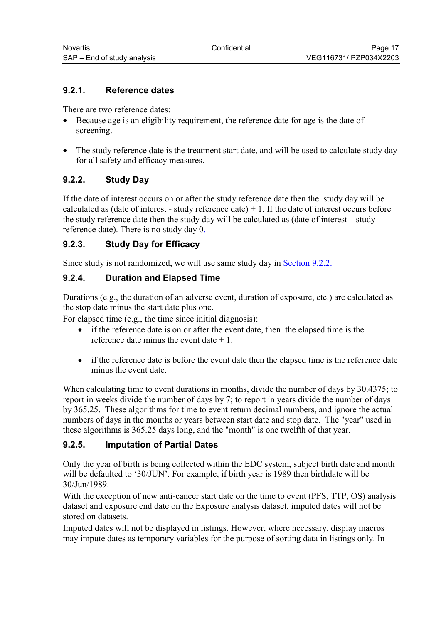#### <span id="page-16-0"></span>**9.2.1. Reference dates**

There are two reference dates:

- Because age is an eligibility requirement, the reference date for age is the date of screening.
- The study reference date is the treatment start date, and will be used to calculate study day for all safety and efficacy measures.

#### **9.2.2. Study Day**

If the date of interest occurs on or after the study reference date then the study day will be calculated as (date of interest - study reference date)  $+1$ . If the date of interest occurs before the study reference date then the study day will be calculated as (date of interest – study reference date). There is no study day 0.

#### **9.2.3. Study Day for Efficacy**

Since study is not randomized, we will use same study day in [Section 9.2.2.](#page-16-0)

#### **9.2.4. Duration and Elapsed Time**

Durations (e.g., the duration of an adverse event, duration of exposure, etc.) are calculated as the stop date minus the start date plus one.

For elapsed time (e.g., the time since initial diagnosis):

- if the reference date is on or after the event date, then the elapsed time is the reference date minus the event date  $+1$ .
- if the reference date is before the event date then the elapsed time is the reference date minus the event date.

When calculating time to event durations in months, divide the number of days by 30.4375; to report in weeks divide the number of days by 7; to report in years divide the number of days by 365.25. These algorithms for time to event return decimal numbers, and ignore the actual numbers of days in the months or years between start date and stop date. The "year" used in these algorithms is 365.25 days long, and the "month" is one twelfth of that year.

#### **9.2.5. Imputation of Partial Dates**

Only the year of birth is being collected within the EDC system, subject birth date and month will be defaulted to '30/JUN'. For example, if birth year is 1989 then birthdate will be 30/Jun/1989.

With the exception of new anti-cancer start date on the time to event (PFS, TTP, OS) analysis dataset and exposure end date on the Exposure analysis dataset, imputed dates will not be stored on datasets.

Imputed dates will not be displayed in listings. However, where necessary, display macros may impute dates as temporary variables for the purpose of sorting data in listings only. In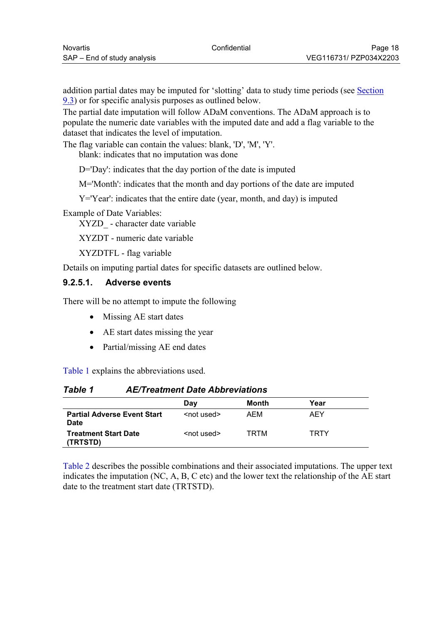<span id="page-17-0"></span>addition partial dates may be imputed for 'slotting' data to study time periods (see [Section](#page-22-0)  [9.3\)](#page-22-0) or for specific analysis purposes as outlined below.

The partial date imputation will follow ADaM conventions. The ADaM approach is to populate the numeric date variables with the imputed date and add a flag variable to the dataset that indicates the level of imputation.

The flag variable can contain the values: blank, 'D', 'M', 'Y'.

blank: indicates that no imputation was done

D='Day': indicates that the day portion of the date is imputed

M='Month': indicates that the month and day portions of the date are imputed

Y='Year': indicates that the entire date (year, month, and day) is imputed

Example of Date Variables:

XYZD\_ - character date variable

XYZDT - numeric date variable

XYZDTFL - flag variable

Details on imputing partial dates for specific datasets are outlined below.

#### **9.2.5.1. Adverse events**

There will be no attempt to impute the following

- Missing AE start dates
- AE start dates missing the year
- Partial/missing AE end dates

[Table 1](#page-17-0) explains the abbreviations used.

#### *Table 1 AE/Treatment Date Abbreviations*

|                                                   | Day                 | Month | Year        |
|---------------------------------------------------|---------------------|-------|-------------|
| <b>Partial Adverse Event Start</b><br><b>Date</b> | <not used=""></not> | AEM   | AEY         |
| <b>Treatment Start Date</b><br>(TRTSTD)           | <not used=""></not> | TRTM  | <b>TRTY</b> |

[Table 2](#page-18-0) describes the possible combinations and their associated imputations. The upper text indicates the imputation (NC, A, B, C etc) and the lower text the relationship of the AE start date to the treatment start date (TRTSTD).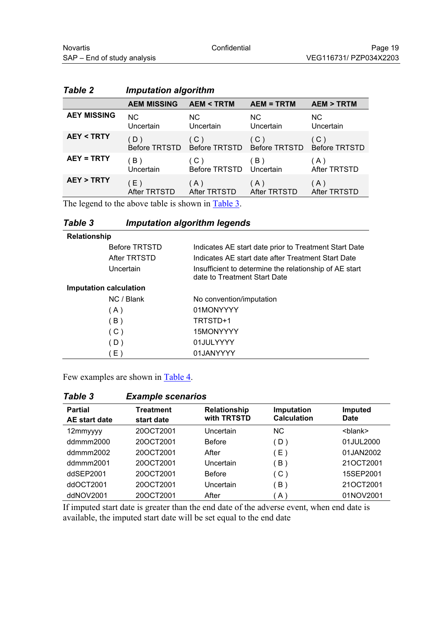|                      | <b>AEM MISSING</b>          | <b>AEM &lt; TRTM</b> | <b>AEM = TRTM</b>                  | <b>AEM &gt; TRTM</b>        |
|----------------------|-----------------------------|----------------------|------------------------------------|-----------------------------|
| <b>AEY MISSING</b>   | <b>NC</b>                   | NC.                  | <b>NC</b>                          | NC.                         |
|                      | Uncertain                   | Uncertain            | Uncertain                          | Uncertain                   |
| <b>AEY &lt; TRTY</b> | (D)<br><b>Before TRTSTD</b> | (C)                  | (C)<br>Before TRTSTD Before TRTSTD | (C)<br><b>Before TRTSTD</b> |
| <b>AEY = TRTY</b>    | B)                          | (C)                  | (B)                                | (A)                         |
|                      | Uncertain                   | Before TRTSTD        | Uncertain                          | After TRTSTD                |
| <b>AEY &gt; TRTY</b> | (E)                         | (A)                  | (A)                                | (A)                         |
|                      | After TRTSTD                | After TRTSTD         | After TRTSTD                       | <b>After TRTSTD</b>         |

## <span id="page-18-0"></span>*Table 2 Imputation algorithm*

The legend to the above table is shown in **Table 3**.

#### *Table 3 Imputation algorithm legends*

| <b>Relationship</b>    |                                                                                        |
|------------------------|----------------------------------------------------------------------------------------|
| <b>Before TRTSTD</b>   | Indicates AE start date prior to Treatment Start Date                                  |
| After TRTSTD           | Indicates AE start date after Treatment Start Date                                     |
| Uncertain              | Insufficient to determine the relationship of AE start<br>date to Treatment Start Date |
| Imputation calculation |                                                                                        |
| NC / Blank             | No convention/imputation                                                               |
| (A)                    | 01MONYYYY                                                                              |
| (B)                    | TRTSTD+1                                                                               |
| (C)                    | 15MONYYYY                                                                              |
| (D)                    | 01JULYYYY                                                                              |
| (E)                    | 01JANYYYY                                                                              |

Few examples are shown in [Table 4.](#page-18-0)

| <b>Table 3</b>                  | <b>Example scenarios</b> |                             |                                  |                               |
|---------------------------------|--------------------------|-----------------------------|----------------------------------|-------------------------------|
| <b>Partial</b><br>AE start date | Treatment<br>start date  | Relationship<br>with TRTSTD | Imputation<br><b>Calculation</b> | <b>Imputed</b><br><b>Date</b> |
| 12mmyyyy                        | 20OCT2001                | Uncertain                   | <b>NC</b>                        | <blank></blank>               |
| ddmmm2000                       | 20OCT2001                | <b>Before</b>               | D)                               | 01JUL2000                     |
| ddmmm2002                       | 20OCT2001                | After                       | $E$ )                            | 01JAN2002                     |
| ddmmm2001                       | 20OCT2001                | Uncertain                   | B)                               | 21OCT2001                     |
| ddSEP2001                       | 20OCT2001                | <b>Before</b>               | (C)                              | 15SEP2001                     |
| ddOCT2001                       | 20OCT2001                | Uncertain                   | B)                               | 21OCT2001                     |
| ddNOV2001                       | 20OCT2001                | After                       | A                                | 01NOV2001                     |

If imputed start date is greater than the end date of the adverse event, when end date is available, the imputed start date will be set equal to the end date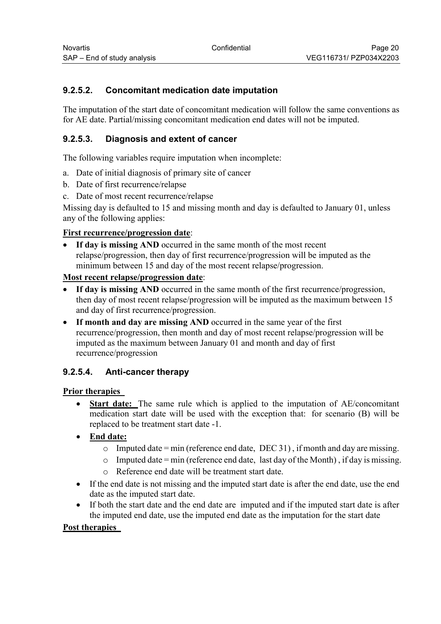## <span id="page-19-0"></span>**9.2.5.2. Concomitant medication date imputation**

The imputation of the start date of concomitant medication will follow the same conventions as for AE date. Partial/missing concomitant medication end dates will not be imputed.

### **9.2.5.3. Diagnosis and extent of cancer**

The following variables require imputation when incomplete:

- a. Date of initial diagnosis of primary site of cancer
- b. Date of first recurrence/relapse
- c. Date of most recent recurrence/relapse

Missing day is defaulted to 15 and missing month and day is defaulted to January 01, unless any of the following applies:

#### **First recurrence/progression date**:

 **If day is missing AND** occurred in the same month of the most recent relapse/progression, then day of first recurrence/progression will be imputed as the minimum between 15 and day of the most recent relapse/progression.

#### **Most recent relapse/progression date**:

- **If day is missing AND** occurred in the same month of the first recurrence/progression, then day of most recent relapse/progression will be imputed as the maximum between 15 and day of first recurrence/progression.
- If month and day are missing AND occurred in the same year of the first recurrence/progression, then month and day of most recent relapse/progression will be imputed as the maximum between January 01 and month and day of first recurrence/progression

#### **9.2.5.4. Anti-cancer therapy**

#### **Prior therapies**

- **Start date:** The same rule which is applied to the imputation of AE/concomitant medication start date will be used with the exception that: for scenario (B) will be replaced to be treatment start date -1.
- **End date:** 
	- o Imputed date = min (reference end date, DEC 31), if month and day are missing.
	- $\circ$  Imputed date = min (reference end date, last day of the Month), if day is missing.
	- o Reference end date will be treatment start date.
- If the end date is not missing and the imputed start date is after the end date, use the end date as the imputed start date.
- If both the start date and the end date are imputed and if the imputed start date is after the imputed end date, use the imputed end date as the imputation for the start date

#### **Post therapies**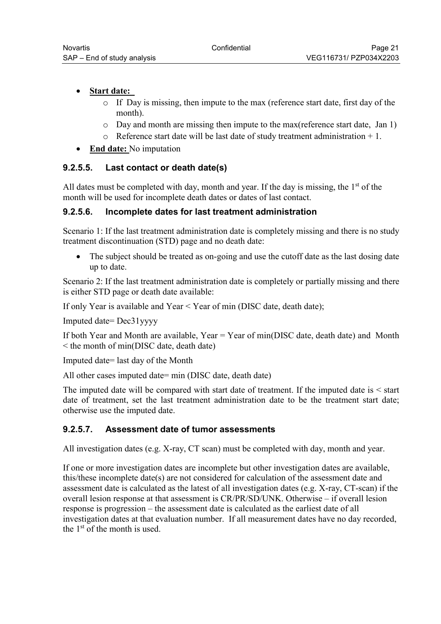#### • **Start date:**

- o If Day is missing, then impute to the max (reference start date, first day of the month).
- o Day and month are missing then impute to the max(reference start date, Jan 1)
- $\circ$  Reference start date will be last date of study treatment administration + 1.
- **End date:** No imputation

#### **9.2.5.5. Last contact or death date(s)**

All dates must be completed with day, month and year. If the day is missing, the  $1<sup>st</sup>$  of the month will be used for incomplete death dates or dates of last contact.

#### **9.2.5.6. Incomplete dates for last treatment administration**

Scenario 1: If the last treatment administration date is completely missing and there is no study treatment discontinuation (STD) page and no death date:

• The subject should be treated as on-going and use the cutoff date as the last dosing date up to date.

Scenario 2: If the last treatment administration date is completely or partially missing and there is either STD page or death date available:

If only Year is available and Year < Year of min (DISC date, death date);

Imputed date= Dec31yyyy

If both Year and Month are available, Year = Year of min(DISC date, death date) and Month < the month of min(DISC date, death date)

Imputed date= last day of the Month

All other cases imputed date= min (DISC date, death date)

The imputed date will be compared with start date of treatment. If the imputed date is < start date of treatment, set the last treatment administration date to be the treatment start date; otherwise use the imputed date.

#### **9.2.5.7. Assessment date of tumor assessments**

All investigation dates (e.g. X-ray, CT scan) must be completed with day, month and year.

If one or more investigation dates are incomplete but other investigation dates are available, this/these incomplete date(s) are not considered for calculation of the assessment date and assessment date is calculated as the latest of all investigation dates (e.g. X-ray, CT-scan) if the overall lesion response at that assessment is CR/PR/SD/UNK. Otherwise – if overall lesion response is progression – the assessment date is calculated as the earliest date of all investigation dates at that evaluation number. If all measurement dates have no day recorded, the 1st of the month is used.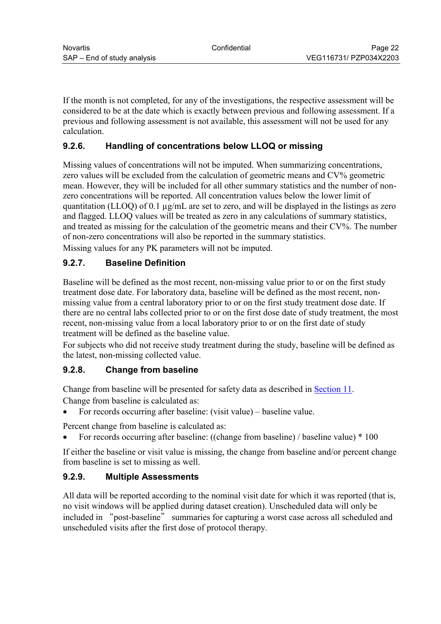<span id="page-21-0"></span>If the month is not completed, for any of the investigations, the respective assessment will be considered to be at the date which is exactly between previous and following assessment. If a previous and following assessment is not available, this assessment will not be used for any calculation.

## **9.2.6. Handling of concentrations below LLOQ or missing**

Missing values of concentrations will not be imputed. When summarizing concentrations, zero values will be excluded from the calculation of geometric means and CV% geometric mean. However, they will be included for all other summary statistics and the number of nonzero concentrations will be reported. All concentration values below the lower limit of quantitation (LLOQ) of 0.1 µg/mL are set to zero, and will be displayed in the listings as zero and flagged. LLOQ values will be treated as zero in any calculations of summary statistics, and treated as missing for the calculation of the geometric means and their CV%. The number of non-zero concentrations will also be reported in the summary statistics. Missing values for any PK parameters will not be imputed.

## **9.2.7. Baseline Definition**

Baseline will be defined as the most recent, non-missing value prior to or on the first study treatment dose date. For laboratory data, baseline will be defined as the most recent, nonmissing value from a central laboratory prior to or on the first study treatment dose date. If there are no central labs collected prior to or on the first dose date of study treatment, the most recent, non-missing value from a local laboratory prior to or on the first date of study treatment will be defined as the baseline value.

For subjects who did not receive study treatment during the study, baseline will be defined as the latest, non-missing collected value.

#### **9.2.8. Change from baseline**

Change from baseline will be presented for safety data as described in [Section 11](#page-33-0). Change from baseline is calculated as:

For records occurring after baseline: (visit value) – baseline value.

Percent change from baseline is calculated as:

For records occurring after baseline: ((change from baseline) / baseline value) \* 100

If either the baseline or visit value is missing, the change from baseline and/or percent change from baseline is set to missing as well.

#### **9.2.9. Multiple Assessments**

All data will be reported according to the nominal visit date for which it was reported (that is, no visit windows will be applied during dataset creation). Unscheduled data will only be included in "post-baseline" summaries for capturing a worst case across all scheduled and unscheduled visits after the first dose of protocol therapy.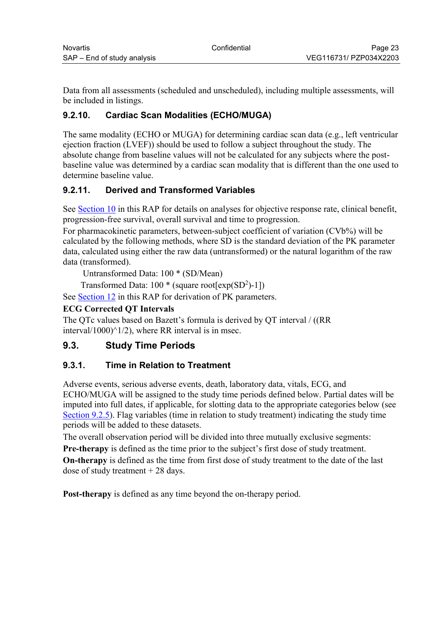<span id="page-22-0"></span>Data from all assessments (scheduled and unscheduled), including multiple assessments, will be included in listings.

## **9.2.10. Cardiac Scan Modalities (ECHO/MUGA)**

The same modality (ECHO or MUGA) for determining cardiac scan data (e.g., left ventricular ejection fraction (LVEF)) should be used to follow a subject throughout the study. The absolute change from baseline values will not be calculated for any subjects where the postbaseline value was determined by a cardiac scan modality that is different than the one used to determine baseline value.

## **9.2.11. Derived and Transformed Variables**

See [Section 10](#page-29-0) in this RAP for details on analyses for objective response rate, clinical benefit, progression-free survival, overall survival and time to progression.

For pharmacokinetic parameters, between-subject coefficient of variation (CVb%) will be calculated by the following methods, where SD is the standard deviation of the PK parameter data, calculated using either the raw data (untransformed) or the natural logarithm of the raw data (transformed).

Untransformed Data: 100 \* (SD/Mean)

Transformed Data:  $100 *$  (square root[ $exp(SD^2) - 1$ ])

See [Section 12](#page-40-0) in this RAP for derivation of PK parameters.

#### **ECG Corrected QT Intervals**

The QTc values based on Bazett's formula is derived by QT interval / ((RR interval/1000) $\binom{1}{2}$ , where RR interval is in msec.

# **9.3. Study Time Periods**

#### **9.3.1. Time in Relation to Treatment**

Adverse events, serious adverse events, death, laboratory data, vitals, ECG, and ECHO/MUGA will be assigned to the study time periods defined below. Partial dates will be imputed into full dates, if applicable, for slotting data to the appropriate categories below (see [Section 9.2.5\)](#page-16-0). Flag variables (time in relation to study treatment) indicating the study time periods will be added to these datasets.

The overall observation period will be divided into three mutually exclusive segments: **Pre-therapy** is defined as the time prior to the subject's first dose of study treatment.

**On-therapy** is defined as the time from first dose of study treatment to the date of the last dose of study treatment + 28 days.

**Post-therapy** is defined as any time beyond the on-therapy period.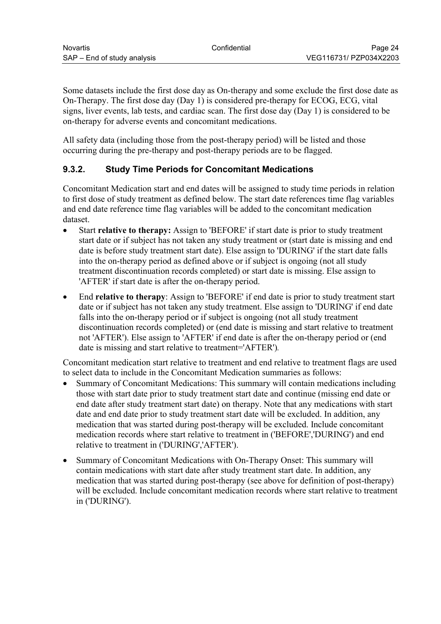<span id="page-23-0"></span>Some datasets include the first dose day as On-therapy and some exclude the first dose date as On-Therapy. The first dose day (Day 1) is considered pre-therapy for ECOG, ECG, vital signs, liver events, lab tests, and cardiac scan. The first dose day (Day 1) is considered to be on-therapy for adverse events and concomitant medications.

All safety data (including those from the post-therapy period) will be listed and those occurring during the pre-therapy and post-therapy periods are to be flagged.

## **9.3.2. Study Time Periods for Concomitant Medications**

Concomitant Medication start and end dates will be assigned to study time periods in relation to first dose of study treatment as defined below. The start date references time flag variables and end date reference time flag variables will be added to the concomitant medication dataset.

- Start **relative to therapy:** Assign to 'BEFORE' if start date is prior to study treatment start date or if subject has not taken any study treatment or (start date is missing and end date is before study treatment start date). Else assign to 'DURING' if the start date falls into the on-therapy period as defined above or if subject is ongoing (not all study treatment discontinuation records completed) or start date is missing. Else assign to 'AFTER' if start date is after the on-therapy period.
- End **relative to therapy**: Assign to 'BEFORE' if end date is prior to study treatment start date or if subject has not taken any study treatment. Else assign to 'DURING' if end date falls into the on-therapy period or if subject is ongoing (not all study treatment discontinuation records completed) or (end date is missing and start relative to treatment not 'AFTER'). Else assign to 'AFTER' if end date is after the on-therapy period or (end date is missing and start relative to treatment='AFTER')*.*

Concomitant medication start relative to treatment and end relative to treatment flags are used to select data to include in the Concomitant Medication summaries as follows:

- Summary of Concomitant Medications: This summary will contain medications including those with start date prior to study treatment start date and continue (missing end date or end date after study treatment start date) on therapy. Note that any medications with start date and end date prior to study treatment start date will be excluded. In addition, any medication that was started during post-therapy will be excluded. Include concomitant medication records where start relative to treatment in ('BEFORE','DURING') and end relative to treatment in ('DURING','AFTER').
- Summary of Concomitant Medications with On-Therapy Onset: This summary will contain medications with start date after study treatment start date. In addition, any medication that was started during post-therapy (see above for definition of post-therapy) will be excluded. Include concomitant medication records where start relative to treatment in ('DURING').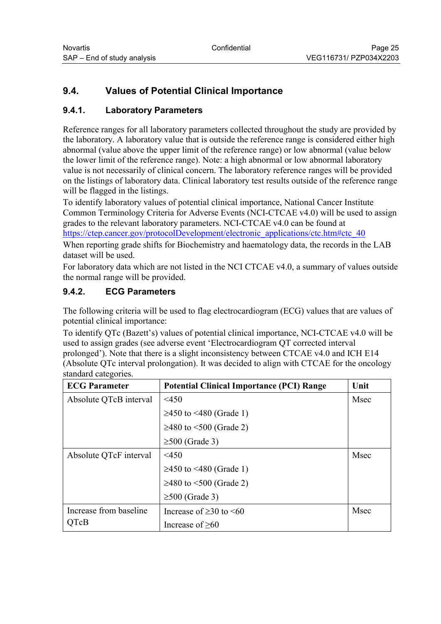# <span id="page-24-0"></span>**9.4. Values of Potential Clinical Importance**

### **9.4.1. Laboratory Parameters**

Reference ranges for all laboratory parameters collected throughout the study are provided by the laboratory. A laboratory value that is outside the reference range is considered either high abnormal (value above the upper limit of the reference range) or low abnormal (value below the lower limit of the reference range). Note: a high abnormal or low abnormal laboratory value is not necessarily of clinical concern. The laboratory reference ranges will be provided on the listings of laboratory data. Clinical laboratory test results outside of the reference range will be flagged in the listings.

To identify laboratory values of potential clinical importance, National Cancer Institute Common Terminology Criteria for Adverse Events (NCI-CTCAE v4.0) will be used to assign grades to the relevant laboratory parameters. NCI-CTCAE v4.0 can be found at https://ctep.cancer.gov/protocolDevelopment/electronic\_applications/ctc.htm#ctc\_40

When reporting grade shifts for Biochemistry and haematology data, the records in the LAB dataset will be used.

For laboratory data which are not listed in the NCI CTCAE v4.0, a summary of values outside the normal range will be provided.

#### **9.4.2. ECG Parameters**

The following criteria will be used to flag electrocardiogram (ECG) values that are values of potential clinical importance:

To identify QTc (Bazett's) values of potential clinical importance, NCI-CTCAE v4.0 will be used to assign grades (see adverse event 'Electrocardiogram QT corrected interval prolonged'). Note that there is a slight inconsistency between CTCAE v4.0 and ICH E14 (Absolute QTc interval prolongation). It was decided to align with CTCAE for the oncology standard categories.

| <b>ECG Parameter</b>   | <b>Potential Clinical Importance (PCI) Range</b> | Unit |
|------------------------|--------------------------------------------------|------|
| Absolute QTcB interval | $<$ 450                                          | Msec |
|                        | ≥450 to <480 (Grade 1)                           |      |
|                        | ≥480 to <500 (Grade 2)                           |      |
|                        | $\geq 500$ (Grade 3)                             |      |
| Absolute QTcF interval | $<$ 450                                          | Msec |
|                        | ≥450 to <480 (Grade 1)                           |      |
|                        | ≥480 to <500 (Grade 2)                           |      |
|                        | $\geq 500$ (Grade 3)                             |      |
| Increase from baseline | Increase of $\geq$ 30 to $\leq$ 60               | Msec |
| <b>OTcB</b>            | Increase of $\geq 60$                            |      |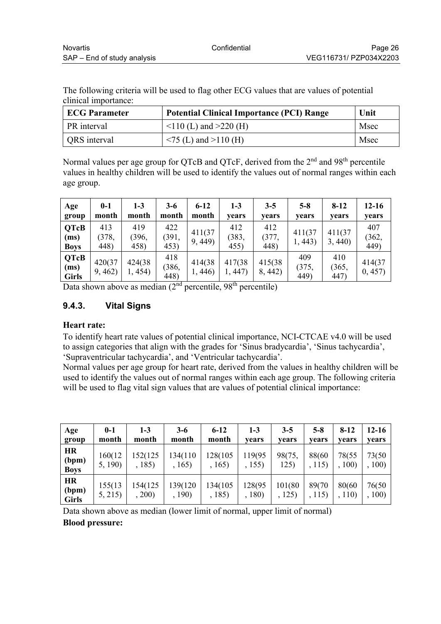<span id="page-25-0"></span>The following criteria will be used to flag other ECG values that are values of potential clinical importance:

| <b>ECG Parameter</b> | <b>Potential Clinical Importance (PCI) Range</b> | Unit |
|----------------------|--------------------------------------------------|------|
| PR interval          | $110$ (L) and $>220$ (H)                         | Msec |
| QRS interval         | $\sim$ 75 (L) and >110 (H)                       | Msec |

Normal values per age group for QTcB and QTcF, derived from the 2<sup>nd</sup> and 98<sup>th</sup> percentile values in healthy children will be used to identify the values out of normal ranges within each age group.

| Age<br>group                        | $0 - 1$<br>month     | $1 - 3$<br>month     | $3-6$<br>month       | $6 - 12$<br>month | $1-3$<br>vears       | $3 - 5$<br>years     | $5 - 8$<br>years     | $8-12$<br><b>vears</b> | $12 - 16$<br>vears   |
|-------------------------------------|----------------------|----------------------|----------------------|-------------------|----------------------|----------------------|----------------------|------------------------|----------------------|
| <b>QTcB</b><br>(ms)<br><b>Boys</b>  | 413<br>(378,<br>448) | 419<br>(396,<br>458) | 422<br>(391,<br>453) | 411(37<br>9,449   | 412<br>(383,<br>455) | 412<br>(377,<br>448) | 411(37)<br>1,443)    | 411(37)<br>3,440       | 407<br>(362,<br>449) |
| <b>QTcB</b><br>(ms)<br><b>Girls</b> | 420(37<br>9,462)     | 424(38)<br>1, 454)   | 418<br>(386,<br>448) | 414(38)<br>1,446  | 417(38)<br>1,447     | 415(38)<br>8, 442)   | 409<br>(375,<br>449) | 410<br>(365,<br>447)   | 414(37<br>0, 457     |

Data shown above as median  $(2<sup>nd</sup>$  percentile,  $98<sup>th</sup>$  percentile)

## **9.4.3. Vital Signs**

#### **Heart rate:**

To identify heart rate values of potential clinical importance, NCI-CTCAE v4.0 will be used to assign categories that align with the grades for 'Sinus bradycardia', 'Sinus tachycardia', 'Supraventricular tachycardia', and 'Ventricular tachycardia'.

Normal values per age group for heart rate, derived from the values in healthy children will be used to identify the values out of normal ranges within each age group. The following criteria will be used to flag vital sign values that are values of potential clinical importance:

| Age<br>group                       | $0 - 1$<br>month  | $1 - 3$<br>month  | $3-6$<br>month     | $6 - 12$<br>month  | $1 - 3$<br>vears | $3-5$<br>vears   | $5-8$<br>vears   | $8-12$<br>vears | $12 - 16$<br>vears |
|------------------------------------|-------------------|-------------------|--------------------|--------------------|------------------|------------------|------------------|-----------------|--------------------|
| <b>HR</b><br>(bpm)<br><b>Boys</b>  | 160(12<br>5, 190) | 152(125<br>, 185) | 134(110)<br>, 165) | 128(105<br>, 165)  | 119(95<br>, 155) | 98(75,<br>125)   | 88(60<br>, 115)  | 78(55<br>, 100) | 73(50)<br>100)     |
| <b>HR</b><br>(bpm)<br><b>Girls</b> | 155(13)<br>5, 215 | 154(125<br>, 200) | 139(120<br>, 190)  | 134(105)<br>, 185) | 128(95<br>, 180) | 101(80<br>, 125) | 89(70)<br>, 115) | 80(60<br>, 110) | 76(50<br>100)      |

Data shown above as median (lower limit of normal, upper limit of normal) **Blood pressure:**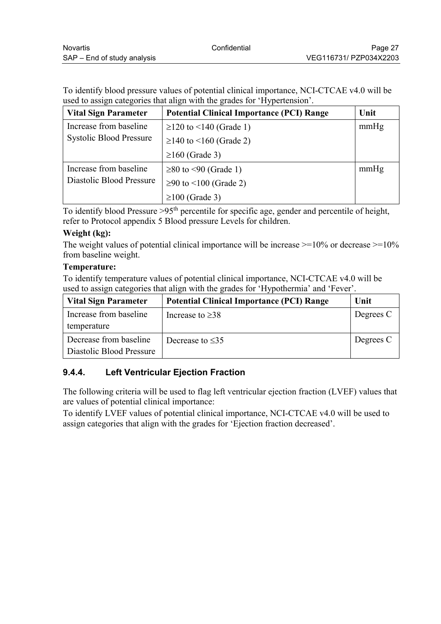<span id="page-26-0"></span>To identify blood pressure values of potential clinical importance, NCI-CTCAE v4.0 will be used to assign categories that align with the grades for 'Hypertension'.

| <b>Vital Sign Parameter</b>    | <b>Potential Clinical Importance (PCI) Range</b> | Unit |
|--------------------------------|--------------------------------------------------|------|
| Increase from baseline         | $\geq$ 120 to <140 (Grade 1)                     | mmHg |
| <b>Systolic Blood Pressure</b> | $\geq$ 140 to <160 (Grade 2)                     |      |
|                                | $\geq 160$ (Grade 3)                             |      |
| Increase from baseline         | $\geq$ 80 to <90 (Grade 1)                       | mmHg |
| Diastolic Blood Pressure       | ≥90 to <100 (Grade 2)                            |      |
|                                | $\geq$ 100 (Grade 3)                             |      |

To identify blood Pressure >95th percentile for specific age, gender and percentile of height, refer to Protocol appendix 5 Blood pressure Levels for children.

#### **Weight (kg):**

The weight values of potential clinical importance will be increase  $\geq$ =10% or decrease  $\geq$ =10% from baseline weight.

#### **Temperature:**

To identify temperature values of potential clinical importance, NCI-CTCAE v4.0 will be used to assign categories that align with the grades for 'Hypothermia' and 'Fever'.

| <b>Vital Sign Parameter</b> | <b>Potential Clinical Importance (PCI) Range</b> | Unit      |
|-----------------------------|--------------------------------------------------|-----------|
| Increase from baseline      | Increase to $\geq$ 38                            | Degrees C |
| temperature                 |                                                  |           |
| Decrease from baseline      | Decrease to $\leq$ 35                            | Degrees C |
| Diastolic Blood Pressure    |                                                  |           |

## **9.4.4. Left Ventricular Ejection Fraction**

The following criteria will be used to flag left ventricular ejection fraction (LVEF) values that are values of potential clinical importance:

To identify LVEF values of potential clinical importance, NCI-CTCAE v4.0 will be used to assign categories that align with the grades for 'Ejection fraction decreased'.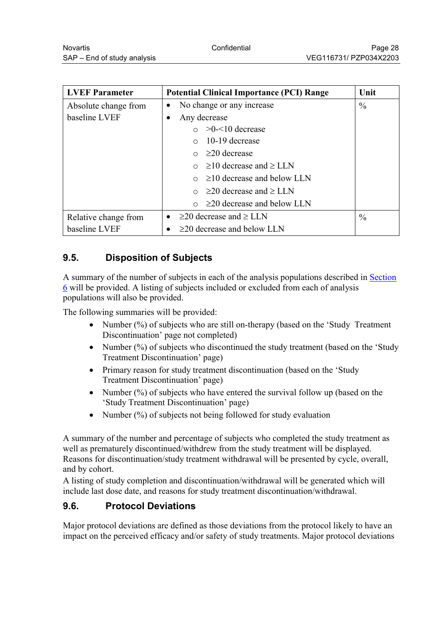<span id="page-27-0"></span>

| <b>LVEF Parameter</b> | <b>Potential Clinical Importance (PCI) Range</b> | Unit          |
|-----------------------|--------------------------------------------------|---------------|
| Absolute change from  | No change or any increase<br>$\bullet$           | $\frac{0}{0}$ |
| baseline LVEF         | Any decrease<br>٠                                |               |
|                       | $\circ$ >0- $\leq$ 10 decrease                   |               |
|                       | $\circ$ 10-19 decrease                           |               |
|                       | $\circ$ $\geq$ 20 decrease                       |               |
|                       | $\circ$ $\geq$ 10 decrease and $\geq$ LLN        |               |
|                       | $\geq$ 10 decrease and below LLN                 |               |
|                       | $\geq$ 20 decrease and $\geq$ LLN                |               |
|                       | $\circ$ $\geq$ 20 decrease and below LLN         |               |
| Relative change from  | $\geq$ 20 decrease and $\geq$ LLN<br>$\bullet$   | $\frac{0}{0}$ |
| baseline LVEF         | $\geq$ 20 decrease and below LLN                 |               |

# **9.5. Disposition of Subjects**

A summary of the number of subjects in each of the analysis populations described in [Section](#page-13-0)  [6](#page-13-0) will be provided. A listing of subjects included or excluded from each of analysis populations will also be provided.

The following summaries will be provided:

- Number  $(\%)$  of subjects who are still on-therapy (based on the 'Study Treatment' Discontinuation' page not completed)
- Number (%) of subjects who discontinued the study treatment (based on the 'Study Treatment Discontinuation' page)
- Primary reason for study treatment discontinuation (based on the 'Study Treatment Discontinuation' page)
- Number  $(\%)$  of subjects who have entered the survival follow up (based on the 'Study Treatment Discontinuation' page)
- Number  $(\%)$  of subjects not being followed for study evaluation

A summary of the number and percentage of subjects who completed the study treatment as well as prematurely discontinued/withdrew from the study treatment will be displayed. Reasons for discontinuation/study treatment withdrawal will be presented by cycle, overall, and by cohort.

A listing of study completion and discontinuation/withdrawal will be generated which will include last dose date, and reasons for study treatment discontinuation/withdrawal.

#### **9.6. Protocol Deviations**

Major protocol deviations are defined as those deviations from the protocol likely to have an impact on the perceived efficacy and/or safety of study treatments. Major protocol deviations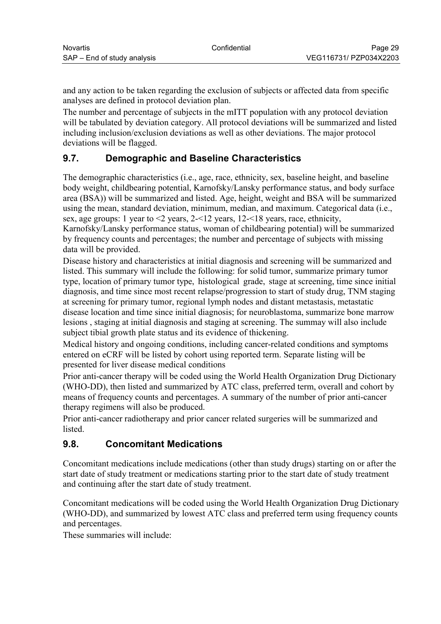<span id="page-28-0"></span>and any action to be taken regarding the exclusion of subjects or affected data from specific analyses are defined in protocol deviation plan.

The number and percentage of subjects in the mITT population with any protocol deviation will be tabulated by deviation category. All protocol deviations will be summarized and listed including inclusion/exclusion deviations as well as other deviations. The major protocol deviations will be flagged.

# **9.7. Demographic and Baseline Characteristics**

The demographic characteristics (i.e., age, race, ethnicity, sex, baseline height, and baseline body weight, childbearing potential, Karnofsky/Lansky performance status, and body surface area (BSA)) will be summarized and listed. Age, height, weight and BSA will be summarized using the mean, standard deviation, minimum, median, and maximum. Categorical data (i.e., sex, age groups: 1 year to <2 years, 2-<12 years, 12-<18 years, race, ethnicity, Karnofsky/Lansky performance status, woman of childbearing potential) will be summarized by frequency counts and percentages; the number and percentage of subjects with missing data will be provided.

Disease history and characteristics at initial diagnosis and screening will be summarized and listed. This summary will include the following: for solid tumor, summarize primary tumor type, location of primary tumor type, histological grade, stage at screening, time since initial diagnosis, and time since most recent relapse/progression to start of study drug, TNM staging at screening for primary tumor, regional lymph nodes and distant metastasis, metastatic disease location and time since initial diagnosis; for neuroblastoma, summarize bone marrow lesions , staging at initial diagnosis and staging at screening. The summay will also include subject tibial growth plate status and its evidence of thickening.

Medical history and ongoing conditions, including cancer-related conditions and symptoms entered on eCRF will be listed by cohort using reported term. Separate listing will be presented for liver disease medical conditions

Prior anti-cancer therapy will be coded using the World Health Organization Drug Dictionary (WHO-DD), then listed and summarized by ATC class, preferred term, overall and cohort by means of frequency counts and percentages. A summary of the number of prior anti-cancer therapy regimens will also be produced.

Prior anti-cancer radiotherapy and prior cancer related surgeries will be summarized and **listed** 

## **9.8. Concomitant Medications**

Concomitant medications include medications (other than study drugs) starting on or after the start date of study treatment or medications starting prior to the start date of study treatment and continuing after the start date of study treatment.

Concomitant medications will be coded using the World Health Organization Drug Dictionary (WHO-DD), and summarized by lowest ATC class and preferred term using frequency counts and percentages.

These summaries will include: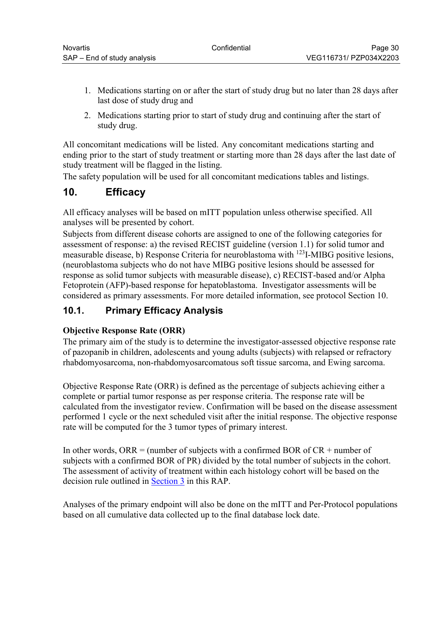- <span id="page-29-0"></span>1. Medications starting on or after the start of study drug but no later than 28 days after last dose of study drug and
- 2. Medications starting prior to start of study drug and continuing after the start of study drug.

All concomitant medications will be listed. Any concomitant medications starting and ending prior to the start of study treatment or starting more than 28 days after the last date of study treatment will be flagged in the listing.

The safety population will be used for all concomitant medications tables and listings.

# **10. Efficacy**

All efficacy analyses will be based on mITT population unless otherwise specified. All analyses will be presented by cohort.

Subjects from different disease cohorts are assigned to one of the following categories for assessment of response: a) the revised RECIST guideline (version 1.1) for solid tumor and measurable disease, b) Response Criteria for neuroblastoma with <sup>123</sup>I-MIBG positive lesions, (neuroblastoma subjects who do not have MIBG positive lesions should be assessed for response as solid tumor subjects with measurable disease), c) RECIST-based and/or Alpha Fetoprotein (AFP)-based response for hepatoblastoma. Investigator assessments will be considered as primary assessments. For more detailed information, see protocol Section 10.

## **10.1. Primary Efficacy Analysis**

#### **Objective Response Rate (ORR)**

The primary aim of the study is to determine the investigator-assessed objective response rate of pazopanib in children, adolescents and young adults (subjects) with relapsed or refractory rhabdomyosarcoma, non-rhabdomyosarcomatous soft tissue sarcoma, and Ewing sarcoma.

Objective Response Rate (ORR) is defined as the percentage of subjects achieving either a complete or partial tumor response as per response criteria. The response rate will be calculated from the investigator review. Confirmation will be based on the disease assessment performed 1 cycle or the next scheduled visit after the initial response. The objective response rate will be computed for the 3 tumor types of primary interest.

In other words, ORR = (number of subjects with a confirmed BOR of  $CR$  + number of subjects with a confirmed BOR of PR) divided by the total number of subjects in the cohort. The assessment of activity of treatment within each histology cohort will be based on the decision rule outlined in [Section 3](#page-10-0) in this RAP.

Analyses of the primary endpoint will also be done on the mITT and Per-Protocol populations based on all cumulative data collected up to the final database lock date.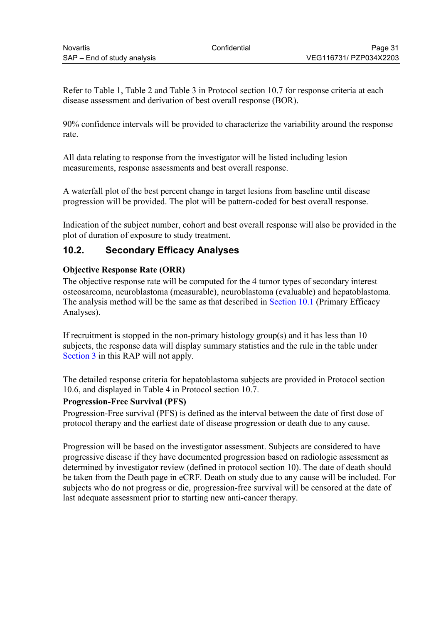<span id="page-30-0"></span>Refer to Table 1, Table 2 and Table 3 in Protocol section 10.7 for response criteria at each disease assessment and derivation of best overall response (BOR).

90% confidence intervals will be provided to characterize the variability around the response rate.

All data relating to response from the investigator will be listed including lesion measurements, response assessments and best overall response.

A waterfall plot of the best percent change in target lesions from baseline until disease progression will be provided. The plot will be pattern-coded for best overall response.

Indication of the subject number, cohort and best overall response will also be provided in the plot of duration of exposure to study treatment.

# **10.2. Secondary Efficacy Analyses**

#### **Objective Response Rate (ORR)**

The objective response rate will be computed for the 4 tumor types of secondary interest osteosarcoma, neuroblastoma (measurable), neuroblastoma (evaluable) and hepatoblastoma. The analysis method will be the same as that described in [Section 10.1](#page-29-0) (Primary Efficacy Analyses).

If recruitment is stopped in the non-primary histology group(s) and it has less than 10 subjects, the response data will display summary statistics and the rule in the table under [Section 3](#page-10-0) in this RAP will not apply.

The detailed response criteria for hepatoblastoma subjects are provided in Protocol section 10.6, and displayed in Table 4 in Protocol section 10.7.

#### **Progression-Free Survival (PFS)**

Progression-Free survival (PFS) is defined as the interval between the date of first dose of protocol therapy and the earliest date of disease progression or death due to any cause.

Progression will be based on the investigator assessment. Subjects are considered to have progressive disease if they have documented progression based on radiologic assessment as determined by investigator review (defined in protocol section 10). The date of death should be taken from the Death page in eCRF. Death on study due to any cause will be included. For subjects who do not progress or die, progression-free survival will be censored at the date of last adequate assessment prior to starting new anti-cancer therapy.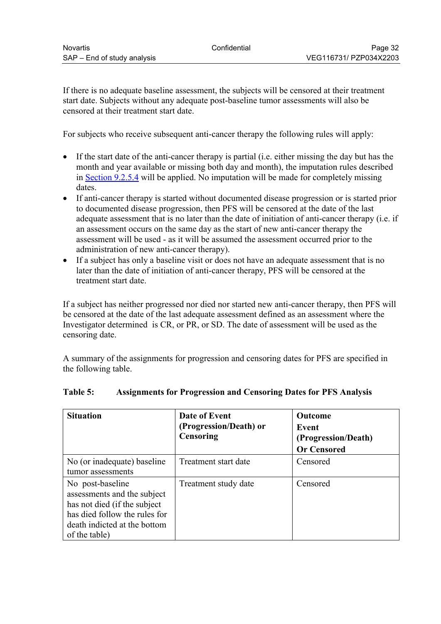If there is no adequate baseline assessment, the subjects will be censored at their treatment start date. Subjects without any adequate post-baseline tumor assessments will also be censored at their treatment start date.

For subjects who receive subsequent anti-cancer therapy the following rules will apply:

- If the start date of the anti-cancer therapy is partial (i.e. either missing the day but has the month and year available or missing both day and month), the imputation rules described in [Section 9.2.5.4](#page-19-0) will be applied. No imputation will be made for completely missing dates.
- If anti-cancer therapy is started without documented disease progression or is started prior to documented disease progression, then PFS will be censored at the date of the last adequate assessment that is no later than the date of initiation of anti-cancer therapy (i.e. if an assessment occurs on the same day as the start of new anti-cancer therapy the assessment will be used - as it will be assumed the assessment occurred prior to the administration of new anti-cancer therapy).
- If a subject has only a baseline visit or does not have an adequate assessment that is no later than the date of initiation of anti-cancer therapy, PFS will be censored at the treatment start date.

If a subject has neither progressed nor died nor started new anti-cancer therapy, then PFS will be censored at the date of the last adequate assessment defined as an assessment where the Investigator determined is CR, or PR, or SD. The date of assessment will be used as the censoring date.

A summary of the assignments for progression and censoring dates for PFS are specified in the following table.

| <b>Situation</b>                                                                                                                                                  | Date of Event<br>(Progression/Death) or<br><b>Censoring</b> | <b>Outcome</b><br>Event<br>(Progression/Death)<br><b>Or Censored</b> |
|-------------------------------------------------------------------------------------------------------------------------------------------------------------------|-------------------------------------------------------------|----------------------------------------------------------------------|
| No (or inadequate) baseline<br>tumor assessments                                                                                                                  | Treatment start date                                        | Censored                                                             |
| No post-baseline<br>assessments and the subject<br>has not died (if the subject<br>has died follow the rules for<br>death indicted at the bottom<br>of the table) | Treatment study date                                        | Censored                                                             |

#### **Table 5: Assignments for Progression and Censoring Dates for PFS Analysis**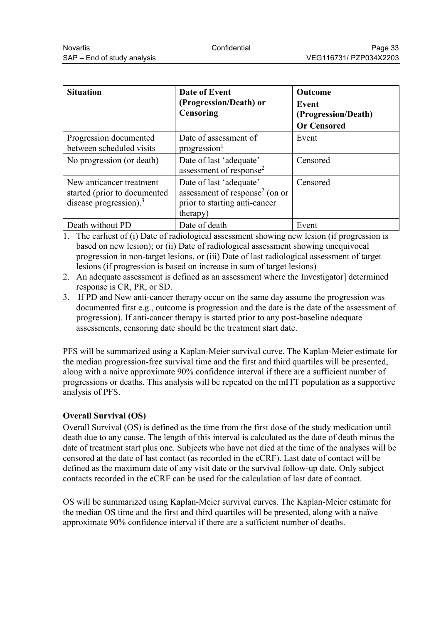| <b>Situation</b>                                                                       | Date of Event<br>(Progression/Death) or<br>Censoring                                                               | <b>Outcome</b><br>Event<br>(Progression/Death)<br><b>Or Censored</b> |
|----------------------------------------------------------------------------------------|--------------------------------------------------------------------------------------------------------------------|----------------------------------------------------------------------|
| Progression documented<br>between scheduled visits                                     | Date of assessment of<br>progression                                                                               | Event                                                                |
| No progression (or death)                                                              | Date of last 'adequate'<br>assessment of response <sup>2</sup>                                                     | Censored                                                             |
| New anticancer treatment<br>started (prior to documented)<br>disease progression). $3$ | Date of last 'adequate'<br>assessment of response <sup>2</sup> (on or<br>prior to starting anti-cancer<br>(therapy | Censored                                                             |
| Death without PD                                                                       | Date of death                                                                                                      | Event                                                                |

1. The earliest of (i) Date of radiological assessment showing new lesion (if progression is based on new lesion); or (ii) Date of radiological assessment showing unequivocal progression in non-target lesions, or (iii) Date of last radiological assessment of target lesions (if progression is based on increase in sum of target lesions)

- 2. An adequate assessment is defined as an assessment where the Investigator determined response is CR, PR, or SD.
- 3. If PD and New anti-cancer therapy occur on the same day assume the progression was documented first e.g., outcome is progression and the date is the date of the assessment of progression). If anti-cancer therapy is started prior to any post-baseline adequate assessments, censoring date should be the treatment start date.

PFS will be summarized using a Kaplan-Meier survival curve. The Kaplan-Meier estimate for the median progression-free survival time and the first and third quartiles will be presented, along with a naive approximate 90% confidence interval if there are a sufficient number of progressions or deaths. This analysis will be repeated on the mITT population as a supportive analysis of PFS.

#### **Overall Survival (OS)**

Overall Survival (OS) is defined as the time from the first dose of the study medication until death due to any cause. The length of this interval is calculated as the date of death minus the date of treatment start plus one. Subjects who have not died at the time of the analyses will be censored at the date of last contact (as recorded in the eCRF). Last date of contact will be defined as the maximum date of any visit date or the survival follow-up date. Only subject contacts recorded in the eCRF can be used for the calculation of last date of contact.

OS will be summarized using Kaplan-Meier survival curves. The Kaplan-Meier estimate for the median OS time and the first and third quartiles will be presented, along with a naïve approximate 90% confidence interval if there are a sufficient number of deaths.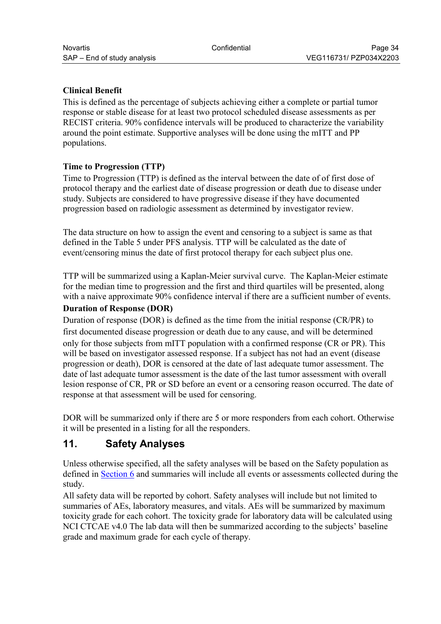#### <span id="page-33-0"></span>**Clinical Benefit**

This is defined as the percentage of subjects achieving either a complete or partial tumor response or stable disease for at least two protocol scheduled disease assessments as per RECIST criteria. 90% confidence intervals will be produced to characterize the variability around the point estimate. Supportive analyses will be done using the mITT and PP populations.

#### **Time to Progression (TTP)**

Time to Progression (TTP) is defined as the interval between the date of of first dose of protocol therapy and the earliest date of disease progression or death due to disease under study. Subjects are considered to have progressive disease if they have documented progression based on radiologic assessment as determined by investigator review.

The data structure on how to assign the event and censoring to a subject is same as that defined in the Table 5 under PFS analysis. TTP will be calculated as the date of event/censoring minus the date of first protocol therapy for each subject plus one.

TTP will be summarized using a Kaplan-Meier survival curve. The Kaplan-Meier estimate for the median time to progression and the first and third quartiles will be presented, along with a naive approximate 90% confidence interval if there are a sufficient number of events.

#### **Duration of Response (DOR)**

Duration of response (DOR) is defined as the time from the initial response (CR/PR) to first documented disease progression or death due to any cause, and will be determined only for those subjects from mITT population with a confirmed response (CR or PR). This will be based on investigator assessed response. If a subject has not had an event (disease progression or death), DOR is censored at the date of last adequate tumor assessment. The date of last adequate tumor assessment is the date of the last tumor assessment with overall lesion response of CR, PR or SD before an event or a censoring reason occurred. The date of response at that assessment will be used for censoring.

DOR will be summarized only if there are 5 or more responders from each cohort. Otherwise it will be presented in a listing for all the responders.

# **11. Safety Analyses**

Unless otherwise specified, all the safety analyses will be based on the Safety population as defined in [Section 6](#page-13-0) and summaries will include all events or assessments collected during the study.

All safety data will be reported by cohort. Safety analyses will include but not limited to summaries of AEs, laboratory measures, and vitals. AEs will be summarized by maximum toxicity grade for each cohort. The toxicity grade for laboratory data will be calculated using NCI CTCAE v4.0 The lab data will then be summarized according to the subjects' baseline grade and maximum grade for each cycle of therapy.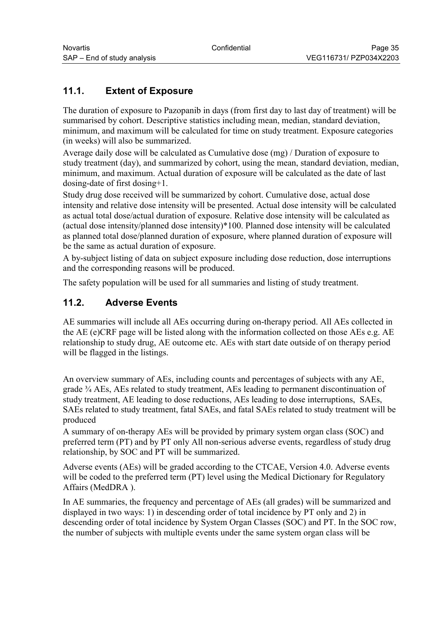# <span id="page-34-0"></span>**11.1. Extent of Exposure**

The duration of exposure to Pazopanib in days (from first day to last day of treatment) will be summarised by cohort. Descriptive statistics including mean, median, standard deviation, minimum, and maximum will be calculated for time on study treatment. Exposure categories (in weeks) will also be summarized.

Average daily dose will be calculated as Cumulative dose (mg) / Duration of exposure to study treatment (day), and summarized by cohort, using the mean, standard deviation, median, minimum, and maximum. Actual duration of exposure will be calculated as the date of last dosing-date of first dosing+1.

Study drug dose received will be summarized by cohort. Cumulative dose, actual dose intensity and relative dose intensity will be presented. Actual dose intensity will be calculated as actual total dose/actual duration of exposure. Relative dose intensity will be calculated as (actual dose intensity/planned dose intensity)\*100. Planned dose intensity will be calculated as planned total dose/planned duration of exposure, where planned duration of exposure will be the same as actual duration of exposure.

A by-subject listing of data on subject exposure including dose reduction, dose interruptions and the corresponding reasons will be produced.

The safety population will be used for all summaries and listing of study treatment.

# **11.2. Adverse Events**

AE summaries will include all AEs occurring during on-therapy period. All AEs collected in the AE (e)CRF page will be listed along with the information collected on those AEs e.g. AE relationship to study drug, AE outcome etc. AEs with start date outside of on therapy period will be flagged in the listings.

An overview summary of AEs, including counts and percentages of subjects with any AE, grade ¾ AEs, AEs related to study treatment, AEs leading to permanent discontinuation of study treatment, AE leading to dose reductions, AEs leading to dose interruptions, SAEs, SAEs related to study treatment, fatal SAEs, and fatal SAEs related to study treatment will be produced

A summary of on-therapy AEs will be provided by primary system organ class (SOC) and preferred term (PT) and by PT only All non-serious adverse events, regardless of study drug relationship, by SOC and PT will be summarized.

Adverse events (AEs) will be graded according to the CTCAE, Version 4.0. Adverse events will be coded to the preferred term (PT) level using the Medical Dictionary for Regulatory Affairs (MedDRA ).

In AE summaries, the frequency and percentage of AEs (all grades) will be summarized and displayed in two ways: 1) in descending order of total incidence by PT only and 2) in descending order of total incidence by System Organ Classes (SOC) and PT. In the SOC row, the number of subjects with multiple events under the same system organ class will be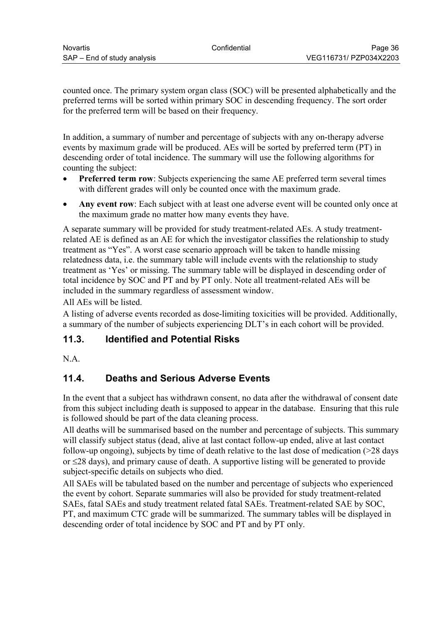<span id="page-35-0"></span>counted once. The primary system organ class (SOC) will be presented alphabetically and the preferred terms will be sorted within primary SOC in descending frequency. The sort order for the preferred term will be based on their frequency.

In addition, a summary of number and percentage of subjects with any on-therapy adverse events by maximum grade will be produced. AEs will be sorted by preferred term (PT) in descending order of total incidence. The summary will use the following algorithms for counting the subject:

- **Preferred term row**: Subjects experiencing the same AE preferred term several times with different grades will only be counted once with the maximum grade.
- **Any event row**: Each subject with at least one adverse event will be counted only once at the maximum grade no matter how many events they have.

A separate summary will be provided for study treatment-related AEs. A study treatmentrelated AE is defined as an AE for which the investigator classifies the relationship to study treatment as "Yes". A worst case scenario approach will be taken to handle missing relatedness data, i.e. the summary table will include events with the relationship to study treatment as 'Yes' or missing. The summary table will be displayed in descending order of total incidence by SOC and PT and by PT only. Note all treatment-related AEs will be included in the summary regardless of assessment window.

All AEs will be listed.

A listing of adverse events recorded as dose-limiting toxicities will be provided. Additionally, a summary of the number of subjects experiencing DLT's in each cohort will be provided.

## **11.3. Identified and Potential Risks**

N.A.

# **11.4. Deaths and Serious Adverse Events**

In the event that a subject has withdrawn consent, no data after the withdrawal of consent date from this subject including death is supposed to appear in the database. Ensuring that this rule is followed should be part of the data cleaning process.

All deaths will be summarised based on the number and percentage of subjects. This summary will classify subject status (dead, alive at last contact follow-up ended, alive at last contact follow-up ongoing), subjects by time of death relative to the last dose of medication (>28 days or  $\leq$ 28 days), and primary cause of death. A supportive listing will be generated to provide subject-specific details on subjects who died.

All SAEs will be tabulated based on the number and percentage of subjects who experienced the event by cohort. Separate summaries will also be provided for study treatment-related SAEs, fatal SAEs and study treatment related fatal SAEs. Treatment-related SAE by SOC, PT, and maximum CTC grade will be summarized. The summary tables will be displayed in descending order of total incidence by SOC and PT and by PT only.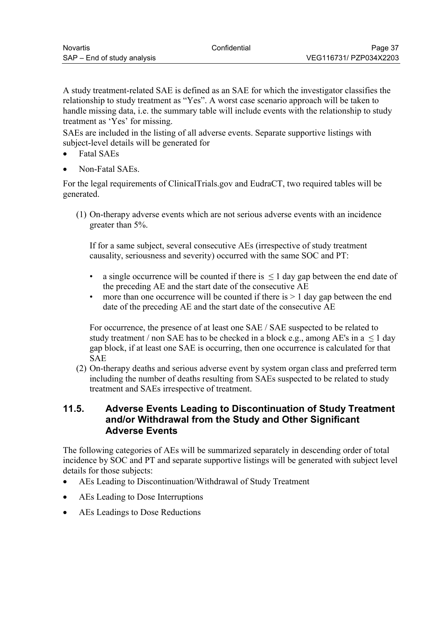<span id="page-36-0"></span>A study treatment-related SAE is defined as an SAE for which the investigator classifies the relationship to study treatment as "Yes". A worst case scenario approach will be taken to handle missing data, i.e. the summary table will include events with the relationship to study treatment as 'Yes' for missing.

SAEs are included in the listing of all adverse events. Separate supportive listings with subject-level details will be generated for

- Fatal SAEs
- Non-Fatal SAEs.

For the legal requirements of ClinicalTrials.gov and EudraCT, two required tables will be generated.

(1) On-therapy adverse events which are not serious adverse events with an incidence greater than 5%.

If for a same subject, several consecutive AEs (irrespective of study treatment causality, seriousness and severity) occurred with the same SOC and PT:

- a single occurrence will be counted if there is  $\leq 1$  day gap between the end date of the preceding AE and the start date of the consecutive AE
- more than one occurrence will be counted if there is  $> 1$  day gap between the end date of the preceding AE and the start date of the consecutive AE

For occurrence, the presence of at least one SAE / SAE suspected to be related to study treatment / non SAE has to be checked in a block e.g., among AE's in  $a \le 1$  day gap block, if at least one SAE is occurring, then one occurrence is calculated for that SAE

(2) On-therapy deaths and serious adverse event by system organ class and preferred term including the number of deaths resulting from SAEs suspected to be related to study treatment and SAEs irrespective of treatment.

## **11.5. Adverse Events Leading to Discontinuation of Study Treatment and/or Withdrawal from the Study and Other Significant Adverse Events**

The following categories of AEs will be summarized separately in descending order of total incidence by SOC and PT and separate supportive listings will be generated with subject level details for those subjects:

- AEs Leading to Discontinuation/Withdrawal of Study Treatment
- AEs Leading to Dose Interruptions
- AEs Leadings to Dose Reductions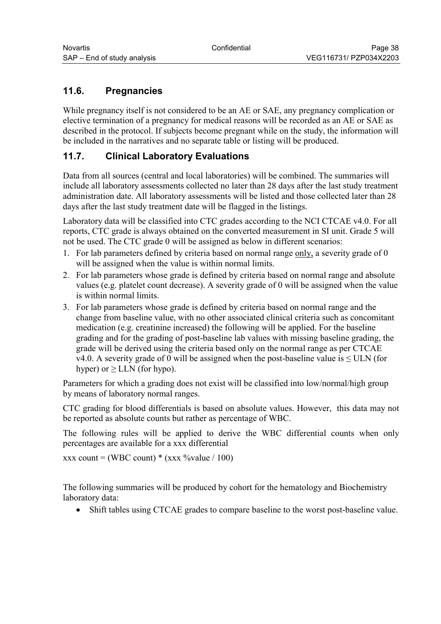# <span id="page-37-0"></span>**11.6. Pregnancies**

While pregnancy itself is not considered to be an AE or SAE, any pregnancy complication or elective termination of a pregnancy for medical reasons will be recorded as an AE or SAE as described in the protocol. If subjects become pregnant while on the study, the information will be included in the narratives and no separate table or listing will be produced.

# **11.7. Clinical Laboratory Evaluations**

Data from all sources (central and local laboratories) will be combined. The summaries will include all laboratory assessments collected no later than 28 days after the last study treatment administration date. All laboratory assessments will be listed and those collected later than 28 days after the last study treatment date will be flagged in the listings.

Laboratory data will be classified into CTC grades according to the NCI CTCAE v4.0. For all reports, CTC grade is always obtained on the converted measurement in SI unit. Grade 5 will not be used. The CTC grade 0 will be assigned as below in different scenarios:

- 1. For lab parameters defined by criteria based on normal range only, a severity grade of 0 will be assigned when the value is within normal limits.
- 2. For lab parameters whose grade is defined by criteria based on normal range and absolute values (e.g. platelet count decrease). A severity grade of 0 will be assigned when the value is within normal limits.
- 3. For lab parameters whose grade is defined by criteria based on normal range and the change from baseline value, with no other associated clinical criteria such as concomitant medication (e.g. creatinine increased) the following will be applied. For the baseline grading and for the grading of post-baseline lab values with missing baseline grading, the grade will be derived using the criteria based only on the normal range as per CTCAE v4.0. A severity grade of 0 will be assigned when the post-baseline value is  $\leq$  ULN (for hyper) or  $\geq$  LLN (for hypo).

Parameters for which a grading does not exist will be classified into low/normal/high group by means of laboratory normal ranges.

CTC grading for blood differentials is based on absolute values. However, this data may not be reported as absolute counts but rather as percentage of WBC.

The following rules will be applied to derive the WBC differential counts when only percentages are available for a xxx differential

xxx count = (WBC count) \* (xxx %value / 100)

The following summaries will be produced by cohort for the hematology and Biochemistry laboratory data:

Shift tables using CTCAE grades to compare baseline to the worst post-baseline value.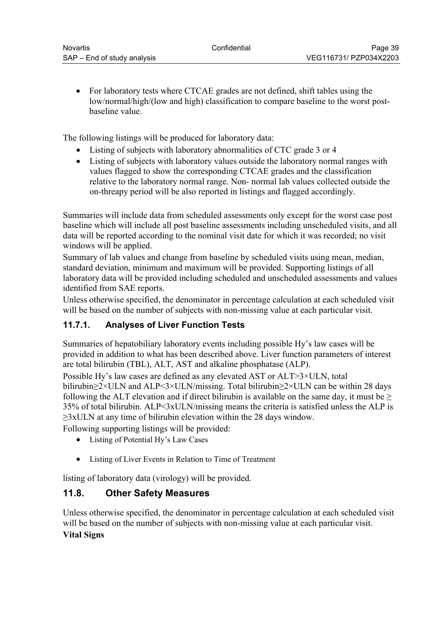<span id="page-38-0"></span> For laboratory tests where CTCAE grades are not defined, shift tables using the low/normal/high/(low and high) classification to compare baseline to the worst postbaseline value.

The following listings will be produced for laboratory data:

- Listing of subjects with laboratory abnormalities of CTC grade 3 or 4
- Listing of subjects with laboratory values outside the laboratory normal ranges with values flagged to show the corresponding CTCAE grades and the classification relative to the laboratory normal range. Non- normal lab values collected outside the on-threapy period will be also reported in listings and flagged accordingly.

Summaries will include data from scheduled assessments only except for the worst case post baseline which will include all post baseline assessments including unscheduled visits, and all data will be reported according to the nominal visit date for which it was recorded; no visit windows will be applied.

Summary of lab values and change from baseline by scheduled visits using mean, median, standard deviation, minimum and maximum will be provided. Supporting listings of all laboratory data will be provided including scheduled and unscheduled assessments and values identified from SAE reports.

Unless otherwise specified, the denominator in percentage calculation at each scheduled visit will be based on the number of subjects with non-missing value at each particular visit.

## **11.7.1. Analyses of Liver Function Tests**

Summaries of hepatobiliary laboratory events including possible Hy's law cases will be provided in addition to what has been described above. Liver function parameters of interest are total bilirubin (TBL), ALT, AST and alkaline phosphatase (ALP).

Possible Hy's law cases are defined as any elevated AST or ALT>3×ULN, total bilirubin≥2×ULN and ALP<3×ULN/missing. Total bilirubin≥2×ULN can be within 28 days following the ALT elevation and if direct bilirubin is available on the same day, it must be  $\geq$ 35% of total bilirubin. ALP<3xULN/missing means the criteria is satisfied unless the ALP is  $\geq$ 3xULN at any time of bilirubin elevation within the 28 days window.

Following supporting listings will be provided:

- Listing of Potential Hy's Law Cases
- Listing of Liver Events in Relation to Time of Treatment

listing of laboratory data (virology) will be provided.

## **11.8. Other Safety Measures**

Unless otherwise specified, the denominator in percentage calculation at each scheduled visit will be based on the number of subjects with non-missing value at each particular visit.

#### **Vital Signs**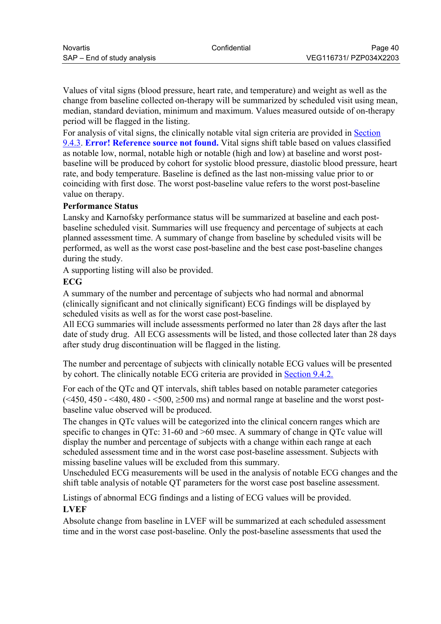<span id="page-39-0"></span>Values of vital signs (blood pressure, heart rate, and temperature) and weight as well as the change from baseline collected on-therapy will be summarized by scheduled visit using mean, median, standard deviation, minimum and maximum. Values measured outside of on-therapy period will be flagged in the listing.

For analysis of vital signs, the clinically notable vital sign criteria are provided in [Section](#page-25-0)  [9.4.3.](#page-25-0) **[Error! Reference source not found.](#page-39-0)** Vital signs shift table based on values classified as notable low, normal, notable high or notable (high and low) at baseline and worst postbaseline will be produced by cohort for systolic blood pressure, diastolic blood pressure, heart rate, and body temperature. Baseline is defined as the last non-missing value prior to or coinciding with first dose. The worst post-baseline value refers to the worst post-baseline value on therapy.

#### **Performance Status**

Lansky and Karnofsky performance status will be summarized at baseline and each postbaseline scheduled visit. Summaries will use frequency and percentage of subjects at each planned assessment time. A summary of change from baseline by scheduled visits will be performed, as well as the worst case post-baseline and the best case post-baseline changes during the study.

A supporting listing will also be provided.

#### **ECG**

A summary of the number and percentage of subjects who had normal and abnormal (clinically significant and not clinically significant) ECG findings will be displayed by scheduled visits as well as for the worst case post-baseline.

All ECG summaries will include assessments performed no later than 28 days after the last date of study drug. All ECG assessments will be listed, and those collected later than 28 days after study drug discontinuation will be flagged in the listing.

The number and percentage of subjects with clinically notable ECG values will be presented by cohort. The clinically notable ECG criteria are provided in [Section 9.4.2.](#page-24-0)

For each of the QTc and QT intervals, shift tables based on notable parameter categories  $\left( \leq 450, 450 \right)$  -  $\leq 480, 480 \right)$  -  $\leq 500, \geq 500$  ms) and normal range at baseline and the worst postbaseline value observed will be produced.

The changes in QTc values will be categorized into the clinical concern ranges which are specific to changes in QTc: 31-60 and  $>60$  msec. A summary of change in QTc value will display the number and percentage of subjects with a change within each range at each scheduled assessment time and in the worst case post-baseline assessment. Subjects with missing baseline values will be excluded from this summary.

Unscheduled ECG measurements will be used in the analysis of notable ECG changes and the shift table analysis of notable QT parameters for the worst case post baseline assessment.

Listings of abnormal ECG findings and a listing of ECG values will be provided. **LVEF**

Absolute change from baseline in LVEF will be summarized at each scheduled assessment time and in the worst case post-baseline. Only the post-baseline assessments that used the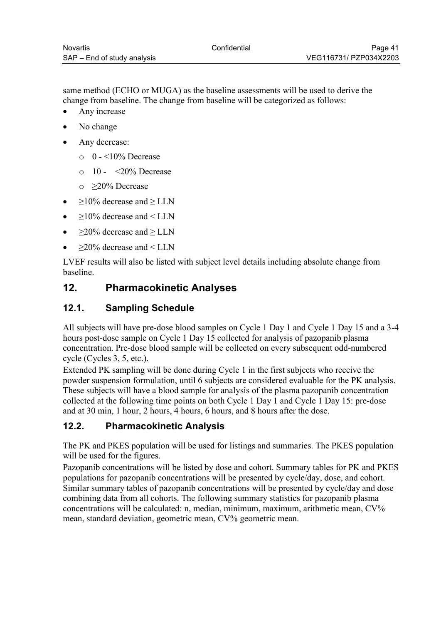<span id="page-40-0"></span>same method (ECHO or MUGA) as the baseline assessments will be used to derive the change from baseline. The change from baseline will be categorized as follows:

- Any increase
- No change
- Any decrease:
	- $\circ$  0 <10% Decrease
	- $\circ$  10 <20% Decrease
	- o ≥20% Decrease
- $≥10%$  decrease and  $≥$  LLN
- ≥10% decrease and < LLN
- $\geq$ 20% decrease and  $\geq$  LLN
- ≥20% decrease and < LLN

LVEF results will also be listed with subject level details including absolute change from baseline.

# **12. Pharmacokinetic Analyses**

# **12.1. Sampling Schedule**

All subjects will have pre-dose blood samples on Cycle 1 Day 1 and Cycle 1 Day 15 and a 3-4 hours post-dose sample on Cycle 1 Day 15 collected for analysis of pazopanib plasma concentration. Pre-dose blood sample will be collected on every subsequent odd-numbered cycle (Cycles 3, 5, etc.).

Extended PK sampling will be done during Cycle 1 in the first subjects who receive the powder suspension formulation, until 6 subjects are considered evaluable for the PK analysis. These subjects will have a blood sample for analysis of the plasma pazopanib concentration collected at the following time points on both Cycle 1 Day 1 and Cycle 1 Day 15: pre-dose and at 30 min, 1 hour, 2 hours, 4 hours, 6 hours, and 8 hours after the dose.

# **12.2. Pharmacokinetic Analysis**

The PK and PKES population will be used for listings and summaries. The PKES population will be used for the figures.

Pazopanib concentrations will be listed by dose and cohort. Summary tables for PK and PKES populations for pazopanib concentrations will be presented by cycle/day, dose, and cohort. Similar summary tables of pazopanib concentrations will be presented by cycle/day and dose combining data from all cohorts. The following summary statistics for pazopanib plasma concentrations will be calculated: n, median, minimum, maximum, arithmetic mean, CV% mean, standard deviation, geometric mean, CV% geometric mean.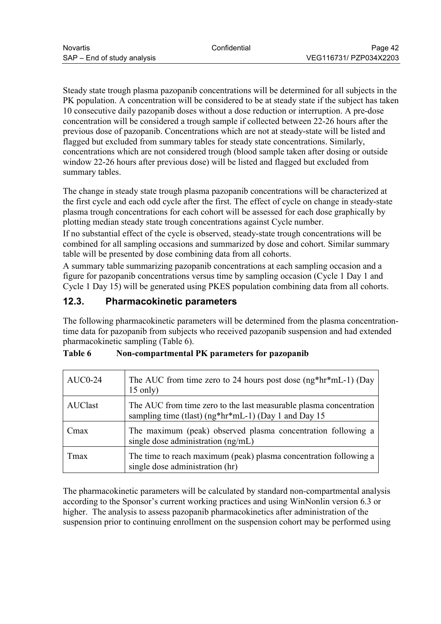<span id="page-41-0"></span>Steady state trough plasma pazopanib concentrations will be determined for all subjects in the PK population. A concentration will be considered to be at steady state if the subject has taken 10 consecutive daily pazopanib doses without a dose reduction or interruption. A pre-dose concentration will be considered a trough sample if collected between 22-26 hours after the previous dose of pazopanib. Concentrations which are not at steady-state will be listed and flagged but excluded from summary tables for steady state concentrations. Similarly, concentrations which are not considered trough (blood sample taken after dosing or outside window 22-26 hours after previous dose) will be listed and flagged but excluded from summary tables.

The change in steady state trough plasma pazopanib concentrations will be characterized at the first cycle and each odd cycle after the first. The effect of cycle on change in steady-state plasma trough concentrations for each cohort will be assessed for each dose graphically by plotting median steady state trough concentrations against Cycle number.

If no substantial effect of the cycle is observed, steady-state trough concentrations will be combined for all sampling occasions and summarized by dose and cohort. Similar summary table will be presented by dose combining data from all cohorts.

A summary table summarizing pazopanib concentrations at each sampling occasion and a figure for pazopanib concentrations versus time by sampling occasion (Cycle 1 Day 1 and Cycle 1 Day 15) will be generated using PKES population combining data from all cohorts.

## **12.3. Pharmacokinetic parameters**

The following pharmacokinetic parameters will be determined from the plasma concentrationtime data for pazopanib from subjects who received pazopanib suspension and had extended pharmacokinetic sampling (Table 6).

| <b>AUC0-24</b> | The AUC from time zero to 24 hours post dose $(ng*hr*mL-1)$ (Day<br>$15$ only)                                             |
|----------------|----------------------------------------------------------------------------------------------------------------------------|
| <b>AUClast</b> | The AUC from time zero to the last measurable plasma concentration<br>sampling time (tlast) (ng*hr*mL-1) (Day 1 and Day 15 |
| L'max          | The maximum (peak) observed plasma concentration following a<br>single dose administration (ng/mL)                         |
| Tmax           | The time to reach maximum (peak) plasma concentration following a<br>single dose administration (hr)                       |

| <b>Table 6</b> | Non-compartmental PK parameters for pazopanib |  |  |
|----------------|-----------------------------------------------|--|--|
|----------------|-----------------------------------------------|--|--|

The pharmacokinetic parameters will be calculated by standard non-compartmental analysis according to the Sponsor's current working practices and using WinNonlin version 6.3 or higher. The analysis to assess pazopanib pharmacokinetics after administration of the suspension prior to continuing enrollment on the suspension cohort may be performed using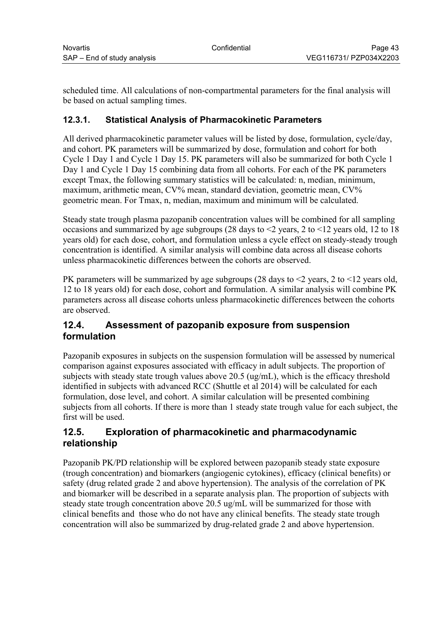<span id="page-42-0"></span>scheduled time. All calculations of non-compartmental parameters for the final analysis will be based on actual sampling times.

## **12.3.1. Statistical Analysis of Pharmacokinetic Parameters**

All derived pharmacokinetic parameter values will be listed by dose, formulation, cycle/day, and cohort. PK parameters will be summarized by dose, formulation and cohort for both Cycle 1 Day 1 and Cycle 1 Day 15. PK parameters will also be summarized for both Cycle 1 Day 1 and Cycle 1 Day 15 combining data from all cohorts. For each of the PK parameters except Tmax, the following summary statistics will be calculated: n, median, minimum, maximum, arithmetic mean, CV% mean, standard deviation, geometric mean, CV% geometric mean. For Tmax, n, median, maximum and minimum will be calculated.

Steady state trough plasma pazopanib concentration values will be combined for all sampling occasions and summarized by age subgroups (28 days to  $\leq$  years, 2 to  $\leq$  12 years old, 12 to 18 years old) for each dose, cohort, and formulation unless a cycle effect on steady-steady trough concentration is identified. A similar analysis will combine data across all disease cohorts unless pharmacokinetic differences between the cohorts are observed.

PK parameters will be summarized by age subgroups (28 days to  $\leq$  years, 2 to  $\leq$  12 years old, 12 to 18 years old) for each dose, cohort and formulation. A similar analysis will combine PK parameters across all disease cohorts unless pharmacokinetic differences between the cohorts are observed.

## **12.4. Assessment of pazopanib exposure from suspension formulation**

Pazopanib exposures in subjects on the suspension formulation will be assessed by numerical comparison against exposures associated with efficacy in adult subjects. The proportion of subjects with steady state trough values above 20.5 (ug/mL), which is the efficacy threshold identified in subjects with advanced RCC (Shuttle et al 2014) will be calculated for each formulation, dose level, and cohort. A similar calculation will be presented combining subjects from all cohorts. If there is more than 1 steady state trough value for each subject, the first will be used.

## **12.5. Exploration of pharmacokinetic and pharmacodynamic relationship**

Pazopanib PK/PD relationship will be explored between pazopanib steady state exposure (trough concentration) and biomarkers (angiogenic cytokines), efficacy (clinical benefits) or safety (drug related grade 2 and above hypertension). The analysis of the correlation of PK and biomarker will be described in a separate analysis plan. The proportion of subjects with steady state trough concentration above 20.5 ug/mL will be summarized for those with clinical benefits and those who do not have any clinical benefits. The steady state trough concentration will also be summarized by drug-related grade 2 and above hypertension.